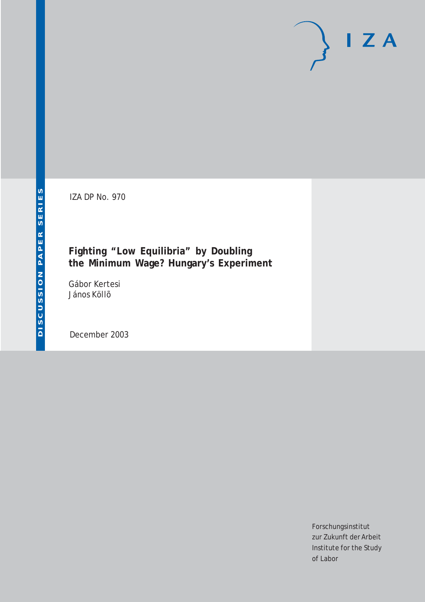IZA DP No. 970

# **Fighting "Low Equilibria" by Doubling the Minimum Wage? Hungary's Experiment**

Gábor Kertesi János Köllõ

December 2003

Forschungsinstitut zur Zukunft der Arbeit Institute for the Study of Labor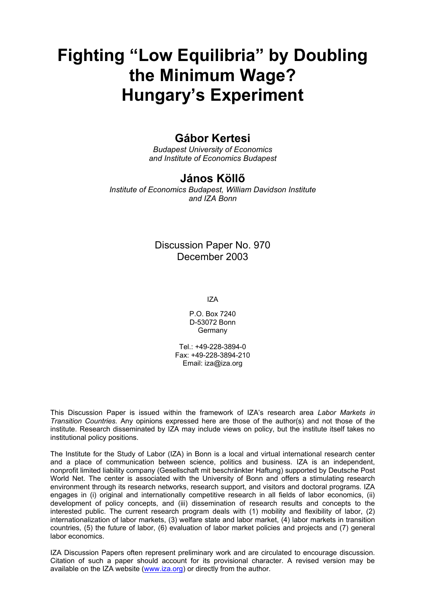# **Fighting "Low Equilibria" by Doubling the Minimum Wage? Hungary's Experiment**

# **Gábor Kertesi**

*Budapest University of Economics and Institute of Economics Budapest* 

# **János Köllő**

*Institute of Economics Budapest, William Davidson Institute and IZA Bonn* 

# Discussion Paper No. 970 December 2003

IZA

P.O. Box 7240 D-53072 Bonn Germany

Tel.: +49-228-3894-0 Fax: +49-228-3894-210 Email: [iza@iza.org](mailto:iza@iza.org)

This Discussion Paper is issued within the framework of IZA's research area *Labor Markets in Transition Countries.* Any opinions expressed here are those of the author(s) and not those of the institute. Research disseminated by IZA may include views on policy, but the institute itself takes no institutional policy positions.

The Institute for the Study of Labor (IZA) in Bonn is a local and virtual international research center and a place of communication between science, politics and business. IZA is an independent, nonprofit limited liability company (Gesellschaft mit beschränkter Haftung) supported by Deutsche Post World Net. The center is associated with the University of Bonn and offers a stimulating research environment through its research networks, research support, and visitors and doctoral programs. IZA engages in (i) original and internationally competitive research in all fields of labor economics, (ii) development of policy concepts, and (iii) dissemination of research results and concepts to the interested public. The current research program deals with (1) mobility and flexibility of labor, (2) internationalization of labor markets, (3) welfare state and labor market, (4) labor markets in transition countries, (5) the future of labor, (6) evaluation of labor market policies and projects and (7) general labor economics.

IZA Discussion Papers often represent preliminary work and are circulated to encourage discussion. Citation of such a paper should account for its provisional character. A revised version may be available on the IZA website ([www.iza.org](http://www.iza.org/)) or directly from the author.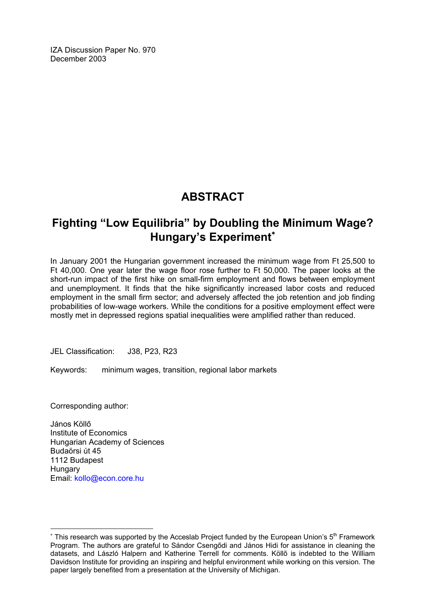IZA Discussion Paper No. 970 December 2003

# **ABSTRACT**

# **Fighting "Low Equilibria" by Doubling the Minimum Wage? Hungary's Experiment**[∗](#page-2-0)

In January 2001 the Hungarian government increased the minimum wage from Ft 25,500 to Ft 40,000. One year later the wage floor rose further to Ft 50,000. The paper looks at the short-run impact of the first hike on small-firm employment and flows between employment and unemployment. It finds that the hike significantly increased labor costs and reduced employment in the small firm sector; and adversely affected the job retention and job finding probabilities of low-wage workers. While the conditions for a positive employment effect were mostly met in depressed regions spatial inequalities were amplified rather than reduced.

JEL Classification: J38, P23, R23

Keywords: minimum wages, transition, regional labor markets

Corresponding author:

 $\overline{a}$ 

János Köllő Institute of Economics Hungarian Academy of Sciences Budaörsi út 45 1112 Budapest **Hungary** Email: [kollo@econ.core.hu](mailto:kollo@econ.core.hu)

<span id="page-2-0"></span><sup>\*</sup> This research was supported by the Acceslab Project funded by the European Union's 5<sup>th</sup> Framework Program. The authors are grateful to Sándor Csengődi and János Hidi for assistance in cleaning the datasets, and László Halpern and Katherine Terrell for comments. Köllõ is indebted to the William Davidson Institute for providing an inspiring and helpful environment while working on this version. The paper largely benefited from a presentation at the University of Michigan.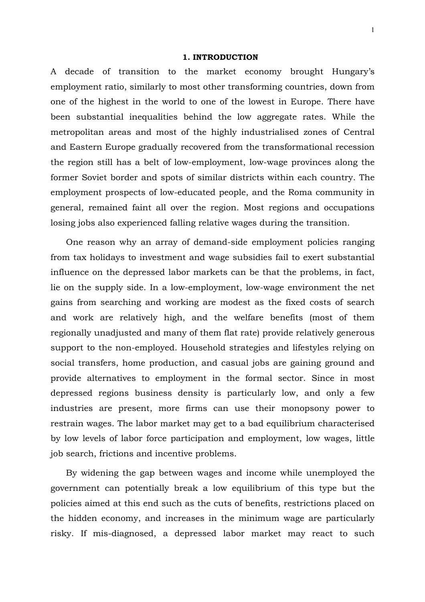### **1. INTRODUCTION**

A decade of transition to the market economy brought Hungary's employment ratio, similarly to most other transforming countries, down from one of the highest in the world to one of the lowest in Europe. There have been substantial inequalities behind the low aggregate rates. While the metropolitan areas and most of the highly industrialised zones of Central and Eastern Europe gradually recovered from the transformational recession the region still has a belt of low-employment, low-wage provinces along the former Soviet border and spots of similar districts within each country. The employment prospects of low-educated people, and the Roma community in general, remained faint all over the region. Most regions and occupations losing jobs also experienced falling relative wages during the transition.

One reason why an array of demand-side employment policies ranging from tax holidays to investment and wage subsidies fail to exert substantial influence on the depressed labor markets can be that the problems, in fact, lie on the supply side. In a low-employment, low-wage environment the net gains from searching and working are modest as the fixed costs of search and work are relatively high, and the welfare benefits (most of them regionally unadjusted and many of them flat rate) provide relatively generous support to the non-employed. Household strategies and lifestyles relying on social transfers, home production, and casual jobs are gaining ground and provide alternatives to employment in the formal sector. Since in most depressed regions business density is particularly low, and only a few industries are present, more firms can use their monopsony power to restrain wages. The labor market may get to a bad equilibrium characterised by low levels of labor force participation and employment, low wages, little job search, frictions and incentive problems.

By widening the gap between wages and income while unemployed the government can potentially break a low equilibrium of this type but the policies aimed at this end such as the cuts of benefits, restrictions placed on the hidden economy, and increases in the minimum wage are particularly risky. If mis-diagnosed, a depressed labor market may react to such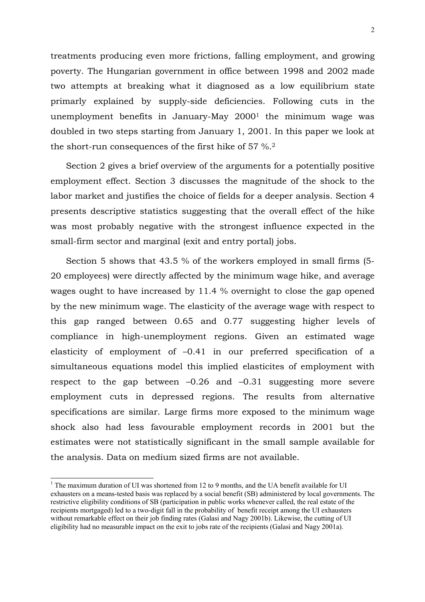treatments producing even more frictions, falling employment, and growing poverty. The Hungarian government in office between 1998 and 2002 made two attempts at breaking what it diagnosed as a low equilibrium state primarly explained by supply-side deficiencies. Following cuts in the unemployment benefits in January-May 20001 the minimum wage was doubled in two steps starting from January 1, 2001. In this paper we look at the short-run consequences of the first hike of 57 %.2

Section 2 gives a brief overview of the arguments for a potentially positive employment effect. Section 3 discusses the magnitude of the shock to the labor market and justifies the choice of fields for a deeper analysis. Section 4 presents descriptive statistics suggesting that the overall effect of the hike was most probably negative with the strongest influence expected in the small-firm sector and marginal (exit and entry portal) jobs.

Section 5 shows that 43.5 % of the workers employed in small firms (5- 20 employees) were directly affected by the minimum wage hike, and average wages ought to have increased by 11.4 % overnight to close the gap opened by the new minimum wage. The elasticity of the average wage with respect to this gap ranged between 0.65 and 0.77 suggesting higher levels of compliance in high-unemployment regions. Given an estimated wage elasticity of employment of –0.41 in our preferred specification of a simultaneous equations model this implied elasticites of employment with respect to the gap between –0.26 and –0.31 suggesting more severe employment cuts in depressed regions. The results from alternative specifications are similar. Large firms more exposed to the minimum wage shock also had less favourable employment records in 2001 but the estimates were not statistically significant in the small sample available for the analysis. Data on medium sized firms are not available.

<sup>&</sup>lt;sup>1</sup> The maximum duration of UI was shortened from 12 to 9 months, and the UA benefit available for UI exhausters on a means-tested basis was replaced by a social benefit (SB) administered by local governments. The restrictive eligibility conditions of SB (participation in public works whenever called, the real estate of the recipients mortgaged) led to a two-digit fall in the probability of benefit receipt among the UI exhausters without remarkable effect on their job finding rates (Galasi and Nagy 2001b). Likewise, the cutting of UI eligibility had no measurable impact on the exit to jobs rate of the recipients (Galasi and Nagy 2001a).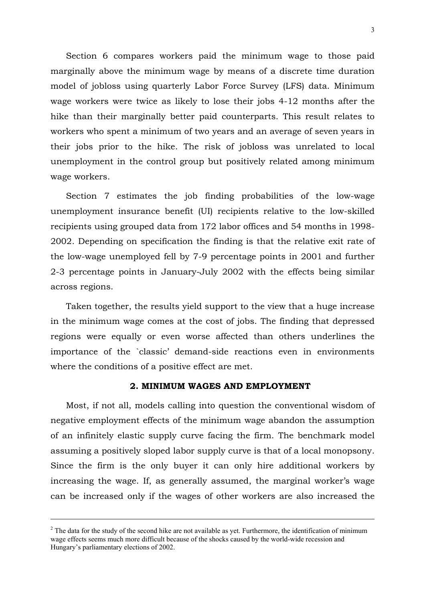Section 6 compares workers paid the minimum wage to those paid marginally above the minimum wage by means of a discrete time duration model of jobloss using quarterly Labor Force Survey (LFS) data. Minimum wage workers were twice as likely to lose their jobs 4-12 months after the hike than their marginally better paid counterparts. This result relates to workers who spent a minimum of two years and an average of seven years in their jobs prior to the hike. The risk of jobloss was unrelated to local unemployment in the control group but positively related among minimum wage workers.

Section 7 estimates the job finding probabilities of the low-wage unemployment insurance benefit (UI) recipients relative to the low-skilled recipients using grouped data from 172 labor offices and 54 months in 1998- 2002. Depending on specification the finding is that the relative exit rate of the low-wage unemployed fell by 7-9 percentage points in 2001 and further 2-3 percentage points in January-July 2002 with the effects being similar across regions.

Taken together, the results yield support to the view that a huge increase in the minimum wage comes at the cost of jobs. The finding that depressed regions were equally or even worse affected than others underlines the importance of the `classic' demand-side reactions even in environments where the conditions of a positive effect are met.

### **2. MINIMUM WAGES AND EMPLOYMENT**

Most, if not all, models calling into question the conventional wisdom of negative employment effects of the minimum wage abandon the assumption of an infinitely elastic supply curve facing the firm. The benchmark model assuming a positively sloped labor supply curve is that of a local monopsony. Since the firm is the only buyer it can only hire additional workers by increasing the wage. If, as generally assumed, the marginal worker's wage can be increased only if the wages of other workers are also increased the

 $2<sup>2</sup>$  The data for the study of the second hike are not available as yet. Furthermore, the identification of minimum wage effects seems much more difficult because of the shocks caused by the world-wide recession and Hungary's parliamentary elections of 2002.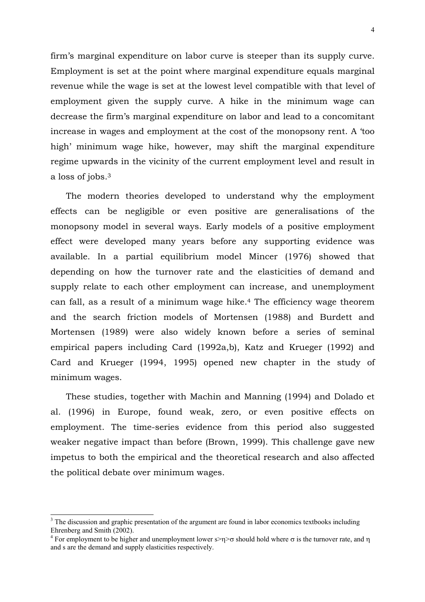firm's marginal expenditure on labor curve is steeper than its supply curve. Employment is set at the point where marginal expenditure equals marginal revenue while the wage is set at the lowest level compatible with that level of employment given the supply curve. A hike in the minimum wage can decrease the firm's marginal expenditure on labor and lead to a concomitant increase in wages and employment at the cost of the monopsony rent. A 'too high' minimum wage hike, however, may shift the marginal expenditure regime upwards in the vicinity of the current employment level and result in a loss of jobs.3

The modern theories developed to understand why the employment effects can be negligible or even positive are generalisations of the monopsony model in several ways. Early models of a positive employment effect were developed many years before any supporting evidence was available. In a partial equilibrium model Mincer (1976) showed that depending on how the turnover rate and the elasticities of demand and supply relate to each other employment can increase, and unemployment can fall, as a result of a minimum wage hike.4 The efficiency wage theorem and the search friction models of Mortensen (1988) and Burdett and Mortensen (1989) were also widely known before a series of seminal empirical papers including Card (1992a,b), Katz and Krueger (1992) and Card and Krueger (1994, 1995) opened new chapter in the study of minimum wages.

These studies, together with Machin and Manning (1994) and Dolado et al. (1996) in Europe, found weak, zero, or even positive effects on employment. The time-series evidence from this period also suggested weaker negative impact than before (Brown, 1999). This challenge gave new impetus to both the empirical and the theoretical research and also affected the political debate over minimum wages.

<sup>&</sup>lt;sup>3</sup> The discussion and graphic presentation of the argument are found in labor economics textbooks including Ehrenberg and Smith (2002).

<sup>&</sup>lt;sup>4</sup> For employment to be higher and unemployment lower s>η>σ should hold where σ is the turnover rate, and η and s are the demand and supply elasticities respectively.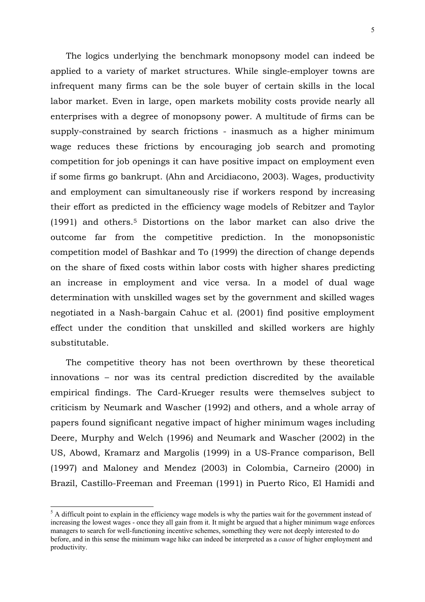The logics underlying the benchmark monopsony model can indeed be applied to a variety of market structures. While single-employer towns are infrequent many firms can be the sole buyer of certain skills in the local labor market. Even in large, open markets mobility costs provide nearly all enterprises with a degree of monopsony power. A multitude of firms can be supply-constrained by search frictions - inasmuch as a higher minimum wage reduces these frictions by encouraging job search and promoting competition for job openings it can have positive impact on employment even if some firms go bankrupt. (Ahn and Arcidiacono, 2003). Wages, productivity and employment can simultaneously rise if workers respond by increasing their effort as predicted in the efficiency wage models of Rebitzer and Taylor (1991) and others.5 Distortions on the labor market can also drive the outcome far from the competitive prediction. In the monopsonistic competition model of Bashkar and To (1999) the direction of change depends on the share of fixed costs within labor costs with higher shares predicting an increase in employment and vice versa. In a model of dual wage determination with unskilled wages set by the government and skilled wages negotiated in a Nash-bargain Cahuc et al. (2001) find positive employment effect under the condition that unskilled and skilled workers are highly substitutable.

The competitive theory has not been overthrown by these theoretical innovations – nor was its central prediction discredited by the available empirical findings. The Card-Krueger results were themselves subject to criticism by Neumark and Wascher (1992) and others, and a whole array of papers found significant negative impact of higher minimum wages including Deere, Murphy and Welch (1996) and Neumark and Wascher (2002) in the US, Abowd, Kramarz and Margolis (1999) in a US-France comparison, Bell (1997) and Maloney and Mendez (2003) in Colombia, Carneiro (2000) in Brazil, Castillo-Freeman and Freeman (1991) in Puerto Rico, El Hamidi and

 $<sup>5</sup>$  A difficult point to explain in the efficiency wage models is why the parties wait for the government instead of</sup> increasing the lowest wages - once they all gain from it. It might be argued that a higher minimum wage enforces managers to search for well-functioning incentive schemes, something they were not deeply interested to do before, and in this sense the minimum wage hike can indeed be interpreted as a *cause* of higher employment and productivity.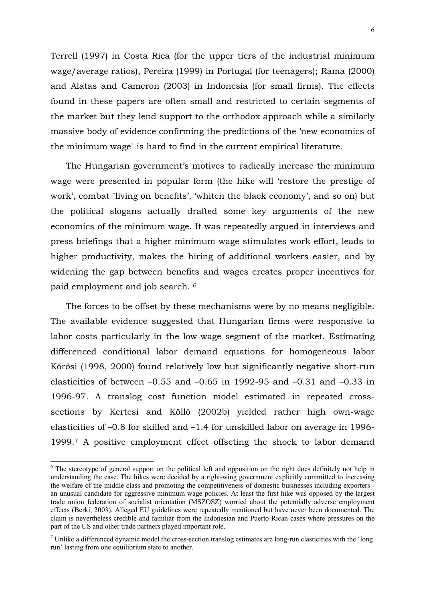Terrell (1997) in Costa Rica (for the upper tiers of the industrial minimum wage/average ratios), Pereira (1999) in Portugal (for teenagers); Rama (2000) and Alatas and Cameron (2003) in Indonesia (for small firms). The effects found in these papers are often small and restricted to certain segments of the market but they lend support to the orthodox approach while a similarly massive body of evidence confirming the predictions of the 'new economics of the minimum wage` is hard to find in the current empirical literature.

The Hungarian government's motives to radically increase the minimum wage were presented in popular form (the hike will 'restore the prestige of work', combat `living on benefits', 'whiten the black economy', and so on) but the political slogans actually drafted some key arguments of the new economics of the minimum wage. It was repeatedly argued in interviews and press briefings that a higher minimum wage stimulates work effort, leads to higher productivity, makes the hiring of additional workers easier, and by widening the gap between benefits and wages creates proper incentives for paid employment and job search. 6

The forces to be offset by these mechanisms were by no means negligible. The available evidence suggested that Hungarian firms were responsive to labor costs particularly in the low-wage segment of the market. Estimating differenced conditional labor demand equations for homogeneous labor Kőrösi (1998, 2000) found relatively low but significantly negative short-run elasticities of between  $-0.55$  and  $-0.65$  in 1992-95 and  $-0.31$  and  $-0.33$  in 1996-97. A translog cost function model estimated in repeated crosssections by Kertesi and Köllő (2002b) yielded rather high own-wage elasticities of –0.8 for skilled and –1.4 for unskilled labor on average in 1996- 1999.7 A positive employment effect offseting the shock to labor demand

1

<sup>&</sup>lt;sup>6</sup> The stereotype of general support on the political left and opposition on the right does definitely not help in understanding the case. The hikes were decided by a right-wing government explicitly committed to increasing the welfare of the middle class and promoting the competitiveness of domestic businesses including exporters an unusual candidate for aggressive minimum wage policies. At least the first hike was opposed by the largest trade union federation of socialist orientation (MSZOSZ) worried about the potentially adverse employment effects (Berki, 2003). Alleged EU guidelines were repeatedly mentioned but have never been documented. The claim is nevertheless credible and familiar from the Indonesian and Puerto Rican cases where pressures on the part of the US and other trade partners played important role.

 $<sup>7</sup>$  Unlike a differenced dynamic model the cross-section translog estimates are long-run elasticities with the 'long</sup> run' lasting from one equilibrium state to another.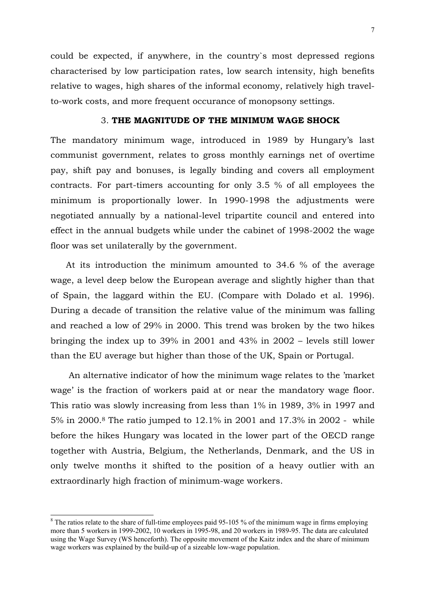could be expected, if anywhere, in the country`s most depressed regions characterised by low participation rates, low search intensity, high benefits relative to wages, high shares of the informal economy, relatively high travelto-work costs, and more frequent occurance of monopsony settings.

# 3. **THE MAGNITUDE OF THE MINIMUM WAGE SHOCK**

The mandatory minimum wage, introduced in 1989 by Hungary's last communist government, relates to gross monthly earnings net of overtime pay, shift pay and bonuses, is legally binding and covers all employment contracts. For part-timers accounting for only 3.5 % of all employees the minimum is proportionally lower. In 1990-1998 the adjustments were negotiated annually by a national-level tripartite council and entered into effect in the annual budgets while under the cabinet of 1998-2002 the wage floor was set unilaterally by the government.

At its introduction the minimum amounted to 34.6 % of the average wage, a level deep below the European average and slightly higher than that of Spain, the laggard within the EU. (Compare with Dolado et al. 1996). During a decade of transition the relative value of the minimum was falling and reached a low of 29% in 2000. This trend was broken by the two hikes bringing the index up to 39% in 2001 and 43% in 2002 – levels still lower than the EU average but higher than those of the UK, Spain or Portugal.

 An alternative indicator of how the minimum wage relates to the 'market wage' is the fraction of workers paid at or near the mandatory wage floor. This ratio was slowly increasing from less than 1% in 1989, 3% in 1997 and 5% in 2000.8 The ratio jumped to 12.1% in 2001 and 17.3% in 2002 - while before the hikes Hungary was located in the lower part of the OECD range together with Austria, Belgium, the Netherlands, Denmark, and the US in only twelve months it shifted to the position of a heavy outlier with an extraordinarly high fraction of minimum-wage workers.

 $\overline{a}$ 

 $8$  The ratios relate to the share of full-time employees paid 95-105 % of the minimum wage in firms employing more than 5 workers in 1999-2002, 10 workers in 1995-98, and 20 workers in 1989-95. The data are calculated using the Wage Survey (WS henceforth). The opposite movement of the Kaitz index and the share of minimum wage workers was explained by the build-up of a sizeable low-wage population.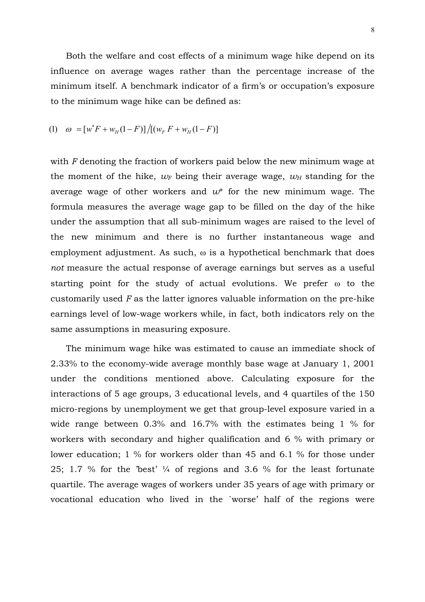Both the welfare and cost effects of a minimum wage hike depend on its influence on average wages rather than the percentage increase of the minimum itself. A benchmark indicator of a firm's or occupation's exposure to the minimum wage hike can be defined as:

(1) 
$$
\omega = [w^*F + w_H(1 - F)]/[(w_F F + w_H(1 - F)]
$$

with *F* denoting the fraction of workers paid below the new minimum wage at the moment of the hike,  $w_F$  being their average wage,  $w_H$  standing for the average wage of other workers and *w*\* for the new minimum wage. The formula measures the average wage gap to be filled on the day of the hike under the assumption that all sub-minimum wages are raised to the level of the new minimum and there is no further instantaneous wage and employment adjustment. As such,  $\omega$  is a hypothetical benchmark that does *not* measure the actual response of average earnings but serves as a useful starting point for the study of actual evolutions. We prefer ω to the customarily used *F* as the latter ignores valuable information on the pre-hike earnings level of low-wage workers while, in fact, both indicators rely on the same assumptions in measuring exposure.

The minimum wage hike was estimated to cause an immediate shock of 2.33% to the economy-wide average monthly base wage at January 1, 2001 under the conditions mentioned above. Calculating exposure for the interactions of 5 age groups, 3 educational levels, and 4 quartiles of the 150 micro-regions by unemployment we get that group-level exposure varied in a wide range between 0.3% and 16.7% with the estimates being 1 % for workers with secondary and higher qualification and 6 % with primary or lower education; 1 % for workers older than 45 and 6.1 % for those under 25; 1.7 % for the 'best' ¼ of regions and 3.6 % for the least fortunate quartile. The average wages of workers under 35 years of age with primary or vocational education who lived in the `worse' half of the regions were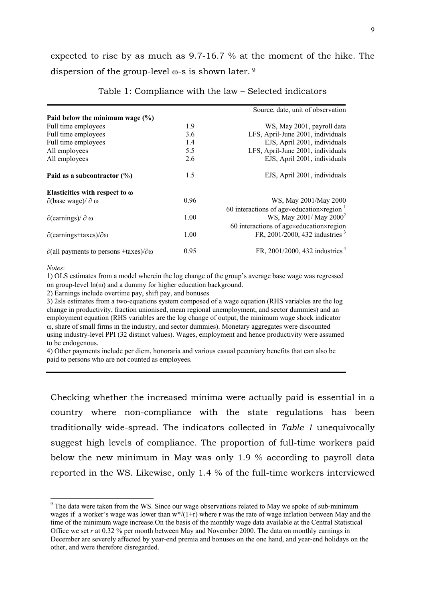expected to rise by as much as 9.7-16.7 % at the moment of the hike. The dispersion of the group-level  $\omega$ -s is shown later. <sup>9</sup>

|                                                                |      | Source, date, unit of observation                        |
|----------------------------------------------------------------|------|----------------------------------------------------------|
| Paid below the minimum wage $(\%)$                             |      |                                                          |
| Full time employees                                            | 1.9  | WS, May 2001, payroll data                               |
| Full time employees                                            | 3.6  | LFS, April-June 2001, individuals                        |
| Full time employees                                            | 1.4  | EJS, April 2001, individuals                             |
| All employees                                                  | 5.5  | LFS, April-June 2001, individuals                        |
| All employees                                                  | 2.6  | EJS, April 2001, individuals                             |
| Paid as a subcontractor $(\% )$                                | 1.5  | EJS, April 2001, individuals                             |
| Elasticities with respect to $\omega$                          |      |                                                          |
| $\partial$ (base wage)/ $\partial \omega$                      | 0.96 | WS, May 2001/May 2000                                    |
|                                                                |      | 60 interactions of agexeducation $\times$ region $^{-1}$ |
| $\partial$ (earnings)/ $\partial \omega$                       | 1.00 | WS, May 2001/ May 2000 <sup>2</sup>                      |
|                                                                |      | 60 interactions of agexeducationxregion                  |
| $\partial$ (earnings+taxes)/ $\partial \omega$                 | 1.00 | FR, 2001/2000, 432 industries <sup>3</sup>               |
| $\partial$ (all payments to persons +taxes)/ $\partial \omega$ | 0.95 | FR, 2001/2000, 432 industries <sup>4</sup>               |
|                                                                |      |                                                          |

Table 1: Compliance with the law – Selected indicators

*Notes*:

-

1) OLS estimates from a model wherein the log change of the group's average base wage was regressed on group-level  $ln(\omega)$  and a dummy for higher education background.

2) Earnings include overtime pay, shift pay, and bonuses

3) 2sls estimates from a two-equations system composed of a wage equation (RHS variables are the log change in productivity, fraction unionised, mean regional unemployment, and sector dummies) and an employment equation (RHS variables are the log change of output, the minimum wage shock indicator ω, share of small firms in the industry, and sector dummies). Monetary aggregates were discounted using industry-level PPI (32 distinct values). Wages, employment and hence productivity were assumed to be endogenous.

4) Other payments include per diem, honoraria and various casual pecuniary benefits that can also be paid to persons who are not counted as employees.

Checking whether the increased minima were actually paid is essential in a country where non-compliance with the state regulations has been traditionally wide-spread. The indicators collected in *Table 1* unequivocally suggest high levels of compliance. The proportion of full-time workers paid below the new minimum in May was only 1.9 % according to payroll data reported in the WS. Likewise, only 1.4 % of the full-time workers interviewed

<sup>&</sup>lt;sup>9</sup> The data were taken from the WS. Since our wage observations related to May we spoke of sub-minimum wages if a worker's wage was lower than  $w^*/(1+r)$  where r was the rate of wage inflation between May and the time of the minimum wage increase.On the basis of the monthly wage data available at the Central Statistical Office we set *r* at 0.32 % per month between May and November 2000. The data on monthly earnings in December are severely affected by year-end premia and bonuses on the one hand, and year-end holidays on the other, and were therefore disregarded.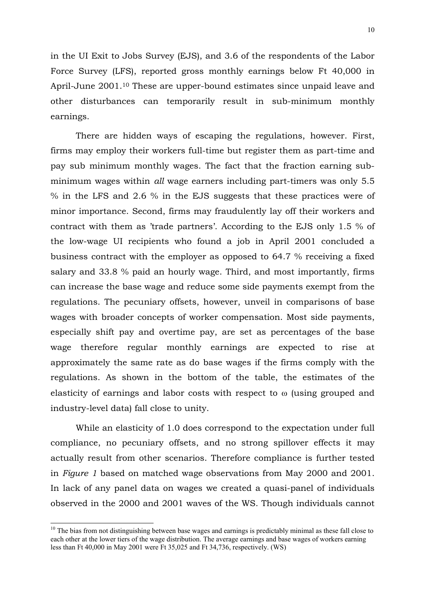in the UI Exit to Jobs Survey (EJS), and 3.6 of the respondents of the Labor Force Survey (LFS), reported gross monthly earnings below Ft 40,000 in April-June 2001.10 These are upper-bound estimates since unpaid leave and other disturbances can temporarily result in sub-minimum monthly earnings.

There are hidden ways of escaping the regulations, however. First, firms may employ their workers full-time but register them as part-time and pay sub minimum monthly wages. The fact that the fraction earning subminimum wages within *all* wage earners including part-timers was only 5.5 % in the LFS and 2.6 % in the EJS suggests that these practices were of minor importance. Second, firms may fraudulently lay off their workers and contract with them as 'trade partners'. According to the EJS only 1.5 % of the low-wage UI recipients who found a job in April 2001 concluded a business contract with the employer as opposed to 64.7 % receiving a fixed salary and 33.8 % paid an hourly wage. Third, and most importantly, firms can increase the base wage and reduce some side payments exempt from the regulations. The pecuniary offsets, however, unveil in comparisons of base wages with broader concepts of worker compensation. Most side payments, especially shift pay and overtime pay, are set as percentages of the base wage therefore regular monthly earnings are expected to rise at approximately the same rate as do base wages if the firms comply with the regulations. As shown in the bottom of the table, the estimates of the elasticity of earnings and labor costs with respect to ω (using grouped and industry-level data) fall close to unity.

While an elasticity of 1.0 does correspond to the expectation under full compliance, no pecuniary offsets, and no strong spillover effects it may actually result from other scenarios. Therefore compliance is further tested in *Figure 1* based on matched wage observations from May 2000 and 2001. In lack of any panel data on wages we created a quasi-panel of individuals observed in the 2000 and 2001 waves of the WS. Though individuals cannot

 $10$  The bias from not distinguishing between base wages and earnings is predictably minimal as these fall close to each other at the lower tiers of the wage distribution. The average earnings and base wages of workers earning less than Ft 40,000 in May 2001 were Ft 35,025 and Ft 34,736, respectively. (WS)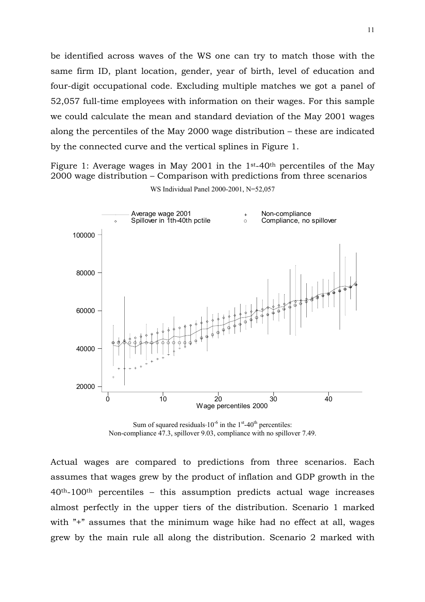be identified across waves of the WS one can try to match those with the same firm ID, plant location, gender, year of birth, level of education and four-digit occupational code. Excluding multiple matches we got a panel of 52,057 full-time employees with information on their wages. For this sample we could calculate the mean and standard deviation of the May 2001 wages along the percentiles of the May 2000 wage distribution – these are indicated by the connected curve and the vertical splines in Figure 1.

Figure 1: Average wages in May 2001 in the 1st-40th percentiles of the May 2000 wage distribution – Comparison with predictions from three scenarios WS Individual Panel 2000-2001, N=52,057



Sum of squared residuals $\cdot 10^{-6}$  in the 1<sup>st</sup>-40<sup>th</sup> percentiles: Non-compliance 47.3, spillover 9.03, compliance with no spillover 7.49.

Actual wages are compared to predictions from three scenarios. Each assumes that wages grew by the product of inflation and GDP growth in the  $40<sup>th</sup>$ -100<sup>th</sup> percentiles – this assumption predicts actual wage increases almost perfectly in the upper tiers of the distribution. Scenario 1 marked with "<sup>+</sup>" assumes that the minimum wage hike had no effect at all, wages grew by the main rule all along the distribution. Scenario 2 marked with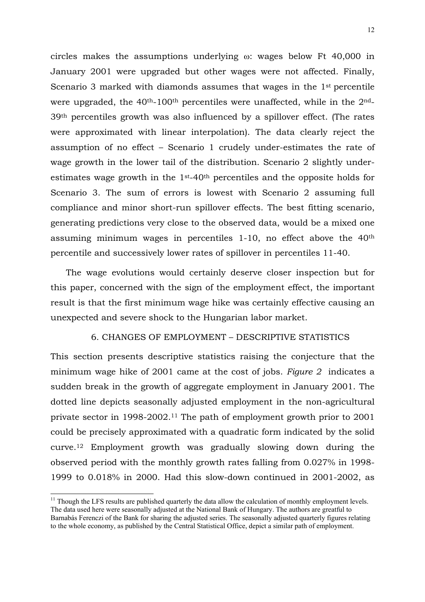circles makes the assumptions underlying ω: wages below Ft 40,000 in January 2001 were upgraded but other wages were not affected. Finally, Scenario 3 marked with diamonds assumes that wages in the 1st percentile were upgraded, the  $40<sup>th</sup>$ -100<sup>th</sup> percentiles were unaffected, while in the  $2<sup>nd</sup>$ -39th percentiles growth was also influenced by a spillover effect. (The rates were approximated with linear interpolation). The data clearly reject the assumption of no effect – Scenario 1 crudely under-estimates the rate of wage growth in the lower tail of the distribution. Scenario 2 slightly underestimates wage growth in the 1st-40th percentiles and the opposite holds for Scenario 3. The sum of errors is lowest with Scenario 2 assuming full compliance and minor short-run spillover effects. The best fitting scenario, generating predictions very close to the observed data, would be a mixed one assuming minimum wages in percentiles 1-10, no effect above the 40th percentile and successively lower rates of spillover in percentiles 11-40.

The wage evolutions would certainly deserve closer inspection but for this paper, concerned with the sign of the employment effect, the important result is that the first minimum wage hike was certainly effective causing an unexpected and severe shock to the Hungarian labor market.

# 6. CHANGES OF EMPLOYMENT – DESCRIPTIVE STATISTICS

This section presents descriptive statistics raising the conjecture that the minimum wage hike of 2001 came at the cost of jobs. *Figure 2* indicates a sudden break in the growth of aggregate employment in January 2001. The dotted line depicts seasonally adjusted employment in the non-agricultural private sector in 1998-2002.11 The path of employment growth prior to 2001 could be precisely approximated with a quadratic form indicated by the solid curve.12 Employment growth was gradually slowing down during the observed period with the monthly growth rates falling from 0.027% in 1998- 1999 to 0.018% in 2000. Had this slow-down continued in 2001-2002, as

1

 $11$  Though the LFS results are published quarterly the data allow the calculation of monthly employment levels. The data used here were seasonally adjusted at the National Bank of Hungary. The authors are greatful to Barnabás Ferenczi of the Bank for sharing the adjusted series. The seasonally adjusted quarterly figures relating to the whole economy, as published by the Central Statistical Office, depict a similar path of employment.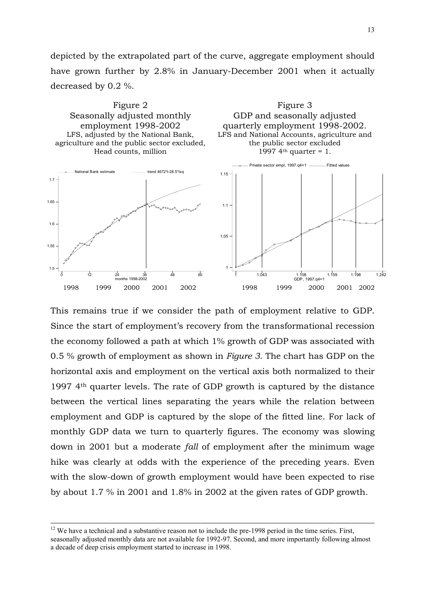depicted by the extrapolated part of the curve, aggregate employment should have grown further by 2.8% in January-December 2001 when it actually decreased by 0.2 %.



This remains true if we consider the path of employment relative to GDP. Since the start of employment's recovery from the transformational recession the economy followed a path at which 1% growth of GDP was associated with 0.5 % growth of employment as shown in *Figure 3*. The chart has GDP on the horizontal axis and employment on the vertical axis both normalized to their 1997 4th quarter levels. The rate of GDP growth is captured by the distance between the vertical lines separating the years while the relation between employment and GDP is captured by the slope of the fitted line. For lack of monthly GDP data we turn to quarterly figures. The economy was slowing down in 2001 but a moderate *fall* of employment after the minimum wage hike was clearly at odds with the experience of the preceding years. Even with the slow-down of growth employment would have been expected to rise by about 1.7 % in 2001 and 1.8% in 2002 at the given rates of GDP growth.

<sup>&</sup>lt;sup>12</sup> We have a technical and a substantive reason not to include the pre-1998 period in the time series. First, seasonally adjusted monthly data are not available for 1992-97. Second, and more importantly following almost a decade of deep crisis employment started to increase in 1998.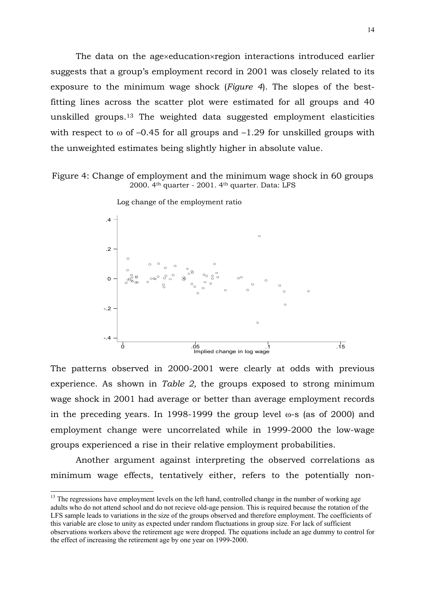The data on the age×education×region interactions introduced earlier suggests that a group's employment record in 2001 was closely related to its exposure to the minimum wage shock (*Figure 4*). The slopes of the bestfitting lines across the scatter plot were estimated for all groups and 40 unskilled groups.13 The weighted data suggested employment elasticities with respect to  $\omega$  of -0.45 for all groups and -1.29 for unskilled groups with the unweighted estimates being slightly higher in absolute value.

Figure 4: Change of employment and the minimum wage shock in 60 groups 2000. 4th quarter - 2001. 4th quarter. Data: LFS



Log change of the employment ratio

The patterns observed in 2000-2001 were clearly at odds with previous experience. As shown in *Table 2,* the groups exposed to strong minimum wage shock in 2001 had average or better than average employment records in the preceding years. In 1998-1999 the group level ω-s (as of 2000) and employment change were uncorrelated while in 1999-2000 the low-wage groups experienced a rise in their relative employment probabilities.

Another argument against interpreting the observed correlations as minimum wage effects, tentatively either, refers to the potentially non-

<sup>&</sup>lt;sup>13</sup> The regressions have employment levels on the left hand, controlled change in the number of working age adults who do not attend school and do not recieve old-age pension. This is required because the rotation of the LFS sample leads to variations in the size of the groups observed and therefore employment. The coefficients of this variable are close to unity as expected under random fluctuations in group size. For lack of sufficient observations workers above the retirement age were dropped. The equations include an age dummy to control for the effect of increasing the retirement age by one year on 1999-2000.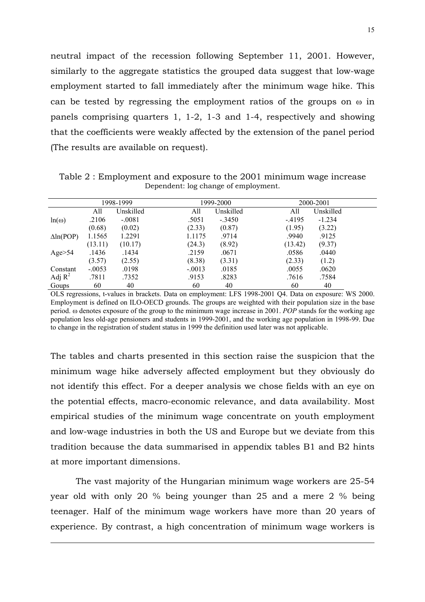neutral impact of the recession following September 11, 2001. However, similarly to the aggregate statistics the grouped data suggest that low-wage employment started to fall immediately after the minimum wage hike. This can be tested by regressing the employment ratios of the groups on ω in panels comprising quarters 1, 1-2, 1-3 and 1-4, respectively and showing that the coefficients were weakly affected by the extension of the panel period (The results are available on request).

 1998-1999 1999-2000 2000-2001 All Unskilled All Unskilled All Unskilled  $ln(\omega)$  .2106 (0.68) -.0081 (0.02) .5051 (2.33) -.3450 (0.87) -.4195 (1.95) -1.234 (3.22) ∆ln(POP) 1.1565 (13.11) 1.2291 (10.17) 1.1175 (24.3) .9714 (8.92) .9940 (13.42) .9125 (9.37) Age>54 .1436 (3.57) .1434 (2.55) .2159 (8.38) .0671 (3.31) .0586 (2.33) .0440 (1.2) Constant -.0053 .0198 -.0013 .0185 .0055 .0620 Adj $R^2$  .7811 .7352 .9153 .8283 .7616 .7584 Goups 60 40 60 40 60 40

Table 2 : Employment and exposure to the 2001 minimum wage increase Dependent: log change of employment.

OLS regressions, t-values in brackets. Data on employment: LFS 1998-2001 Q4. Data on exposure: WS 2000. Employment is defined on ILO-OECD grounds. The groups are weighted with their population size in the base period. ω denotes exposure of the group to the minimum wage increase in 2001. *POP* stands for the working age population less old-age pensioners and students in 1999-2001, and the working age population in 1998-99. Due to change in the registration of student status in 1999 the definition used later was not applicable.

The tables and charts presented in this section raise the suspicion that the minimum wage hike adversely affected employment but they obviously do not identify this effect. For a deeper analysis we chose fields with an eye on the potential effects, macro-economic relevance, and data availability. Most empirical studies of the minimum wage concentrate on youth employment and low-wage industries in both the US and Europe but we deviate from this tradition because the data summarised in appendix tables B1 and B2 hints at more important dimensions.

The vast majority of the Hungarian minimum wage workers are 25-54 year old with only 20 % being younger than 25 and a mere 2 % being teenager. Half of the minimum wage workers have more than 20 years of experience. By contrast, a high concentration of minimum wage workers is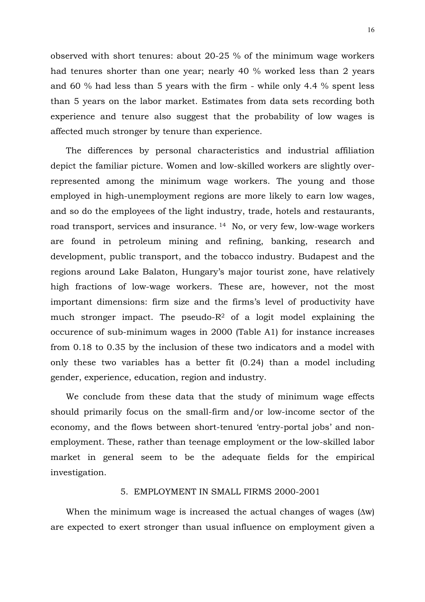observed with short tenures: about 20-25 % of the minimum wage workers had tenures shorter than one year; nearly 40 % worked less than 2 years and 60 % had less than 5 years with the firm - while only 4.4 % spent less than 5 years on the labor market. Estimates from data sets recording both experience and tenure also suggest that the probability of low wages is affected much stronger by tenure than experience.

The differences by personal characteristics and industrial affiliation depict the familiar picture. Women and low-skilled workers are slightly overrepresented among the minimum wage workers. The young and those employed in high-unemployment regions are more likely to earn low wages, and so do the employees of the light industry, trade, hotels and restaurants, road transport, services and insurance. 14 No, or very few, low-wage workers are found in petroleum mining and refining, banking, research and development, public transport, and the tobacco industry. Budapest and the regions around Lake Balaton, Hungary's major tourist zone, have relatively high fractions of low-wage workers. These are, however, not the most important dimensions: firm size and the firms's level of productivity have much stronger impact. The pseudo- $R<sup>2</sup>$  of a logit model explaining the occurence of sub-minimum wages in 2000 (Table A1) for instance increases from 0.18 to 0.35 by the inclusion of these two indicators and a model with only these two variables has a better fit (0.24) than a model including gender, experience, education, region and industry.

We conclude from these data that the study of minimum wage effects should primarily focus on the small-firm and/or low-income sector of the economy, and the flows between short-tenured 'entry-portal jobs' and nonemployment. These, rather than teenage employment or the low-skilled labor market in general seem to be the adequate fields for the empirical investigation.

## 5. EMPLOYMENT IN SMALL FIRMS 2000-2001

When the minimum wage is increased the actual changes of wages (∆w) are expected to exert stronger than usual influence on employment given a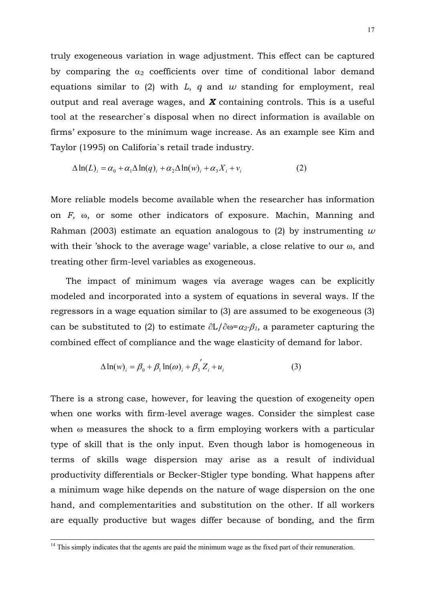truly exogeneous variation in wage adjustment. This effect can be captured by comparing the  $\alpha_2$  coefficients over time of conditional labor demand equations similar to (2) with *L*, *q* and *w* standing for employment, real output and real average wages, and *X* containing controls. This is a useful tool at the researcher`s disposal when no direct information is available on firms' exposure to the minimum wage increase. As an example see Kim and Taylor (1995) on Califoria`s retail trade industry.

$$
\Delta \ln(L)_i = \alpha_0 + \alpha_1 \Delta \ln(q)_i + \alpha_2 \Delta \ln(w)_i + \alpha_3 X_i + v_i \tag{2}
$$

More reliable models become available when the researcher has information on *F,* ω, or some other indicators of exposure. Machin, Manning and Rahman (2003) estimate an equation analogous to (2) by instrumenting *w* with their 'shock to the average wage' variable, a close relative to our ω, and treating other firm-level variables as exogeneous.

The impact of minimum wages via average wages can be explicitly modeled and incorporated into a system of equations in several ways. If the regressors in a wage equation similar to (3) are assumed to be exogeneous (3) can be substituted to (2) to estimate ∂L/∂ω=<sup>α</sup>*2*⋅β*1,* a parameter capturing the combined effect of compliance and the wage elasticity of demand for labor.

$$
\Delta \ln(w)_i = \beta_0 + \beta_1 \ln(\omega)_i + \beta_3' Z_i + u_i \tag{3}
$$

There is a strong case, however, for leaving the question of exogeneity open when one works with firm-level average wages. Consider the simplest case when ω measures the shock to a firm employing workers with a particular type of skill that is the only input. Even though labor is homogeneous in terms of skills wage dispersion may arise as a result of individual productivity differentials or Becker-Stigler type bonding. What happens after a minimum wage hike depends on the nature of wage dispersion on the one hand, and complementarities and substitution on the other. If all workers are equally productive but wages differ because of bonding, and the firm

<sup>&</sup>lt;sup>14</sup> This simply indicates that the agents are paid the minimum wage as the fixed part of their remuneration.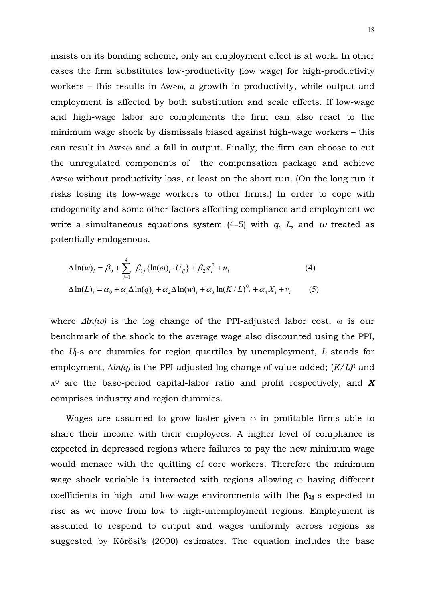insists on its bonding scheme, only an employment effect is at work. In other cases the firm substitutes low-productivity (low wage) for high-productivity workers – this results in ∆w>ω, a growth in productivity, while output and employment is affected by both substitution and scale effects. If low-wage and high-wage labor are complements the firm can also react to the minimum wage shock by dismissals biased against high-wage workers – this can result in ∆w<ω and a fall in output. Finally, the firm can choose to cut the unregulated components of the compensation package and achieve ∆w<ω without productivity loss, at least on the short run. (On the long run it risks losing its low-wage workers to other firms.) In order to cope with endogeneity and some other factors affecting compliance and employment we write a simultaneous equations system (4-5) with *q*, *L*, and *w* treated as potentially endogenous.

$$
\Delta \ln(w)_i = \beta_0 + \sum_{j=1}^4 \beta_{1j} {\ln(\omega)_i \cdot U_{ij}} + \beta_2 \pi_i^0 + u_i
$$
\n
$$
\Delta \ln(L)_i = \alpha_0 + \alpha_1 \Delta \ln(q)_i + \alpha_2 \Delta \ln(w)_i + \alpha_3 \ln(K/L)^0_i + \alpha_4 X_i + v_i
$$
\n(5)

where ∆*ln(w)* is the log change of the PPI-adjusted labor cost, ω is our benchmark of the shock to the average wage also discounted using the PPI, the *U*j-s are dummies for region quartiles by unemployment, *L* stands for employment, ∆*ln(q)* is the PPI-adjusted log change of value added; (*K/L)*0 and  $\pi^0$  are the base-period capital-labor ratio and profit respectively, and **X** comprises industry and region dummies.

Wages are assumed to grow faster given  $\omega$  in profitable firms able to share their income with their employees. A higher level of compliance is expected in depressed regions where failures to pay the new minimum wage would menace with the quitting of core workers. Therefore the minimum wage shock variable is interacted with regions allowing ω having different coefficients in high- and low-wage environments with the β**1j**-s expected to rise as we move from low to high-unemployment regions. Employment is assumed to respond to output and wages uniformly across regions as suggested by Kőrösi's (2000) estimates. The equation includes the base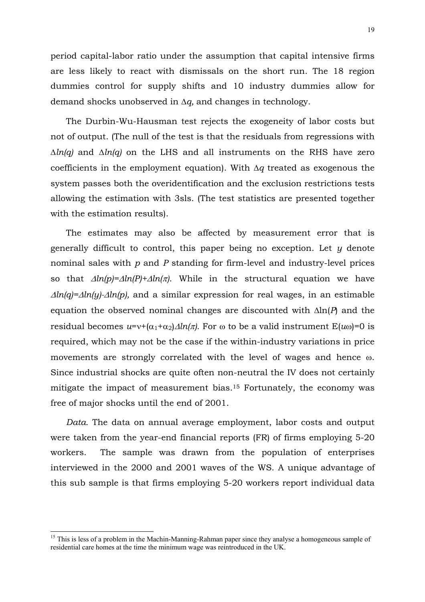period capital-labor ratio under the assumption that capital intensive firms are less likely to react with dismissals on the short run. The 18 region dummies control for supply shifts and 10 industry dummies allow for demand shocks unobserved in ∆*q,* and changes in technology.

The Durbin-Wu-Hausman test rejects the exogeneity of labor costs but not of output. (The null of the test is that the residuals from regressions with ∆*ln(q)* and ∆*ln(q)* on the LHS and all instruments on the RHS have zero coefficients in the employment equation). With ∆*q* treated as exogenous the system passes both the overidentification and the exclusion restrictions tests allowing the estimation with 3sls. (The test statistics are presented together with the estimation results).

The estimates may also be affected by measurement error that is generally difficult to control, this paper being no exception. Let *y* denote nominal sales with *p* and *P* standing for firm-level and industry-level prices so that ∆*ln(p)=*∆*ln(P)+*∆*ln(*π*)*. While in the structural equation we have <sup>∆</sup>*ln(q)=*∆*ln(y)-*∆*ln(p),* and a similar expression for real wages, in an estimable equation the observed nominal changes are discounted with ∆ln(*P*) and the residual becomes  $u=v+(\alpha_1+\alpha_2)\Delta ln(\pi)$ . For  $\omega$  to be a valid instrument  $E(u\omega)=0$  is required, which may not be the case if the within-industry variations in price movements are strongly correlated with the level of wages and hence ω. Since industrial shocks are quite often non-neutral the IV does not certainly mitigate the impact of measurement bias.15 Fortunately, the economy was free of major shocks until the end of 2001.

*Data.* The data on annual average employment, labor costs and output were taken from the year-end financial reports (FR) of firms employing 5-20 workers. The sample was drawn from the population of enterprises interviewed in the 2000 and 2001 waves of the WS. A unique advantage of this sub sample is that firms employing 5-20 workers report individual data

<sup>&</sup>lt;sup>15</sup> This is less of a problem in the Machin-Manning-Rahman paper since they analyse a homogeneous sample of residential care homes at the time the minimum wage was reintroduced in the UK.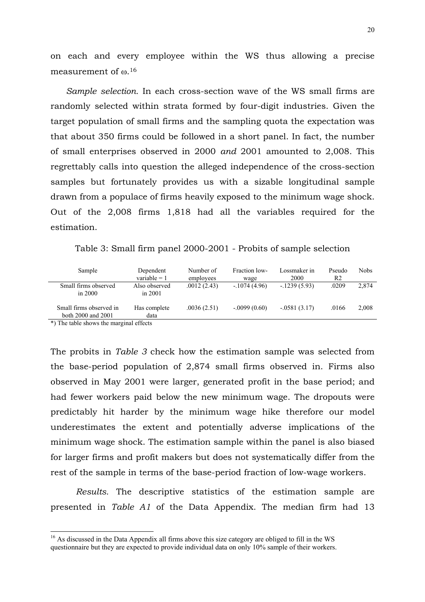on each and every employee within the WS thus allowing a precise measurement of  $\omega$ .<sup>16</sup>

*Sample selection.* In each cross-section wave of the WS small firms are randomly selected within strata formed by four-digit industries. Given the target population of small firms and the sampling quota the expectation was that about 350 firms could be followed in a short panel. In fact, the number of small enterprises observed in 2000 *and* 2001 amounted to 2,008. This regrettably calls into question the alleged independence of the cross-section samples but fortunately provides us with a sizable longitudinal sample drawn from a populace of firms heavily exposed to the minimum wage shock. Out of the 2,008 firms 1,818 had all the variables required for the estimation.

Table 3: Small firm panel 2000-2001 - Probits of sample selection

| Sample                                        | Dependent<br>variable $= 1$ | Number of<br>employees | Fraction low-<br>wage | Lossmaker in<br>2000 | Pseudo<br>R2 | <b>Nobs</b> |
|-----------------------------------------------|-----------------------------|------------------------|-----------------------|----------------------|--------------|-------------|
| Small firms observed<br>in $2000$             | Also observed<br>in 2001    | .0012(2.43)            | $-1074(4.96)$         | $-1239(5.93)$        | .0209        | 2,874       |
| Small firms observed in<br>both 2000 and 2001 | Has complete<br>data        | .0036(2.51)            | $-.0099(0.60)$        | $-.0581(3.17)$       | .0166        | 2,008       |

\*) The table shows the marginal effects

-

The probits in *Table 3* check how the estimation sample was selected from the base-period population of 2,874 small firms observed in. Firms also observed in May 2001 were larger, generated profit in the base period; and had fewer workers paid below the new minimum wage. The dropouts were predictably hit harder by the minimum wage hike therefore our model underestimates the extent and potentially adverse implications of the minimum wage shock. The estimation sample within the panel is also biased for larger firms and profit makers but does not systematically differ from the rest of the sample in terms of the base-period fraction of low-wage workers.

*Results.* The descriptive statistics of the estimation sample are presented in *Table A1* of the Data Appendix. The median firm had 13

<sup>&</sup>lt;sup>16</sup> As discussed in the Data Appendix all firms above this size category are obliged to fill in the WS questionnaire but they are expected to provide individual data on only 10% sample of their workers.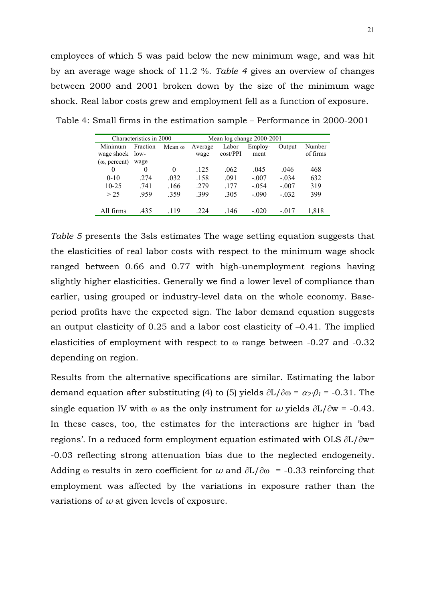employees of which 5 was paid below the new minimum wage, and was hit by an average wage shock of 11.2 %. *Table 4* gives an overview of changes between 2000 and 2001 broken down by the size of the minimum wage shock. Real labor costs grew and employment fell as a function of exposure.

| Characteristics in 2000 |                    |        | Mean log change 2000-2001 |                   |                 |         |                    |
|-------------------------|--------------------|--------|---------------------------|-------------------|-----------------|---------|--------------------|
| Minimum<br>wage shock   | Fraction<br>$low-$ | Mean o | Average<br>wage           | Labor<br>cost/PPI | Employ-<br>ment | Output  | Number<br>of firms |
| $(\omega,$ percent)     | wage               |        |                           |                   |                 |         |                    |
|                         | 0                  | 0      | .125                      | .062              | .045            | .046    | 468                |
| $0-10$                  | 274                | .032   | .158                      | .091              | $-.007$         | $-.034$ | 632                |
| $10-25$                 | .741               | .166   | .279                      | .177              | $-0.54$         | $-.007$ | 319                |
| > 25                    | .959               | .359   | .399                      | .305              | $-.090$         | $-.032$ | 399                |
| All firms               | 435                | 119    | 224                       | .146              | $-.020$         | $-.017$ | 1.818              |

Table 4: Small firms in the estimation sample – Performance in 2000-2001

*Table 5* presents the 3sls estimates The wage setting equation suggests that the elasticities of real labor costs with respect to the minimum wage shock ranged between 0.66 and 0.77 with high-unemployment regions having slightly higher elasticities. Generally we find a lower level of compliance than earlier, using grouped or industry-level data on the whole economy. Baseperiod profits have the expected sign. The labor demand equation suggests an output elasticity of 0.25 and a labor cost elasticity of –0.41. The implied elasticities of employment with respect to ω range between -0.27 and -0.32 depending on region.

Results from the alternative specifications are similar. Estimating the labor demand equation after substituting (4) to (5) yields ∂L/∂ω = <sup>α</sup>*2*⋅β*<sup>1</sup>* = -0.31. The single equation IV with  $\omega$  as the only instrument for *w* yields  $\partial L/\partial w = -0.43$ . In these cases, too, the estimates for the interactions are higher in 'bad regions'. In a reduced form employment equation estimated with OLS ∂L/∂w= -0.03 reflecting strong attenuation bias due to the neglected endogeneity. Adding  $\omega$  results in zero coefficient for *w* and  $\partial L/\partial \omega$  = -0.33 reinforcing that employment was affected by the variations in exposure rather than the variations of *w* at given levels of exposure.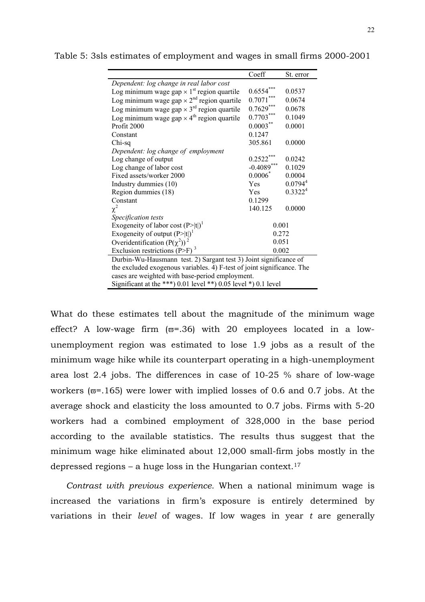|                                                                        | Coeff         | St. error                                                      |  |  |  |  |  |  |
|------------------------------------------------------------------------|---------------|----------------------------------------------------------------|--|--|--|--|--|--|
| Dependent: log change in real labor cost                               |               |                                                                |  |  |  |  |  |  |
| Log minimum wage gap $\times$ 1 <sup>st</sup> region quartile          | ***<br>0.6554 | 0.0537                                                         |  |  |  |  |  |  |
| Log minimum wage gap $\times 2^{nd}$ region quartile                   | $0.7071***$   | 0.0674                                                         |  |  |  |  |  |  |
| Log minimum wage gap $\times$ 3 <sup>rd</sup> region quartile          | $0.7629***$   | 0.0678                                                         |  |  |  |  |  |  |
| Log minimum wage gap $\times$ 4 <sup>th</sup> region quartile          | $0.7703***$   | 0.1049                                                         |  |  |  |  |  |  |
| Profit 2000                                                            | $0.0003***$   | 0.0001                                                         |  |  |  |  |  |  |
| Constant                                                               | 0.1247        |                                                                |  |  |  |  |  |  |
| Chi-sq                                                                 | 305.861       | 0.0000                                                         |  |  |  |  |  |  |
| Dependent: log change of employment                                    |               |                                                                |  |  |  |  |  |  |
| Log change of output                                                   | 0.2522        | 0.0242                                                         |  |  |  |  |  |  |
| Log change of labor cost                                               | $-0.4089$ *** | 0.1029                                                         |  |  |  |  |  |  |
| Fixed assets/worker 2000                                               | $0.0006*$     | 0.0004                                                         |  |  |  |  |  |  |
| Industry dummies (10)                                                  | Yes           | $0.0794^{4}$                                                   |  |  |  |  |  |  |
| Region dummies (18)                                                    | Yes.          | 0.3322 <sup>4</sup>                                            |  |  |  |  |  |  |
| Constant                                                               | 0.1299        |                                                                |  |  |  |  |  |  |
| $\chi^2$                                                               | 140.125       | 0.0000                                                         |  |  |  |  |  |  |
| Specification tests                                                    |               |                                                                |  |  |  |  |  |  |
| Exogeneity of labor cost $(P> t )^{1}$                                 | 0.001         |                                                                |  |  |  |  |  |  |
| Exogeneity of output $(P> t )^1$                                       | 0.272         |                                                                |  |  |  |  |  |  |
| Overidentification $(P(\chi^2))^2$                                     | 0.051         |                                                                |  |  |  |  |  |  |
| Exclusion restrictions (P>F) <sup>3</sup><br>0.002                     |               |                                                                |  |  |  |  |  |  |
| Durbin-Wu-Hausmann test. 2) Sargant test 3) Joint significance of      |               |                                                                |  |  |  |  |  |  |
| the excluded exogenous variables. 4) F-test of joint significance. The |               |                                                                |  |  |  |  |  |  |
| cases are weighted with base-period employment.                        |               |                                                                |  |  |  |  |  |  |
|                                                                        |               | Significant at the ***) 0.01 level **) 0.05 level *) 0.1 level |  |  |  |  |  |  |

Table 5: 3sls estimates of employment and wages in small firms 2000-2001

What do these estimates tell about the magnitude of the minimum wage effect? A low-wage firm  $(\varpi = .36)$  with 20 employees located in a lowunemployment region was estimated to lose 1.9 jobs as a result of the minimum wage hike while its counterpart operating in a high-unemployment area lost 2.4 jobs. The differences in case of 10-25 % share of low-wage workers ( $\varpi$ =.165) were lower with implied losses of 0.6 and 0.7 jobs. At the average shock and elasticity the loss amounted to 0.7 jobs. Firms with 5-20 workers had a combined employment of 328,000 in the base period according to the available statistics. The results thus suggest that the minimum wage hike eliminated about 12,000 small-firm jobs mostly in the depressed regions – a huge loss in the Hungarian context.<sup>17</sup>

*Contrast with previous experience.* When a national minimum wage is increased the variations in firm's exposure is entirely determined by variations in their *level* of wages. If low wages in year *t* are generally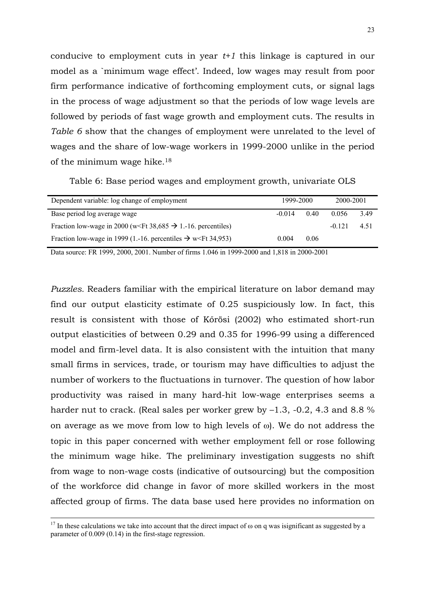conducive to employment cuts in year *t+1* this linkage is captured in our model as a `minimum wage effect'. Indeed, low wages may result from poor firm performance indicative of forthcoming employment cuts, or signal lags in the process of wage adjustment so that the periods of low wage levels are followed by periods of fast wage growth and employment cuts. The results in *Table 6* show that the changes of employment were unrelated to the level of wages and the share of low-wage workers in 1999-2000 unlike in the period of the minimum wage hike.18

|  | Table 6: Base period wages and employment growth, univariate OLS |  |  |
|--|------------------------------------------------------------------|--|--|
|  |                                                                  |  |  |

| Dependent variable: log change of employment                                             | 1999-2000 |      | 2000-2001 |      |
|------------------------------------------------------------------------------------------|-----------|------|-----------|------|
| Base period log average wage                                                             | $-0.014$  | 0.40 | 0.056     | 3.49 |
| Fraction low-wage in 2000 (w <ft 38,685="" <math="">\rightarrow 1.-16. percentiles)</ft> |           |      | $-0.121$  | 4.51 |
| Fraction low-wage in 1999 (1.-16. percentiles $\rightarrow$ w Ft 34,953)                 | 0.004     | 0.06 |           |      |

Data source: FR 1999, 2000, 2001. Number of firms 1.046 in 1999-2000 and 1,818 in 2000-2001

*Puzzles.* Readers familiar with the empirical literature on labor demand may find our output elasticity estimate of 0.25 suspiciously low. In fact, this result is consistent with those of Kőrösi (2002) who estimated short-run output elasticities of between 0.29 and 0.35 for 1996-99 using a differenced model and firm-level data. It is also consistent with the intuition that many small firms in services, trade, or tourism may have difficulties to adjust the number of workers to the fluctuations in turnover. The question of how labor productivity was raised in many hard-hit low-wage enterprises seems a harder nut to crack. (Real sales per worker grew by  $-1.3$ ,  $-0.2$ , 4.3 and 8.8 % on average as we move from low to high levels of ω). We do not address the topic in this paper concerned with wether employment fell or rose following the minimum wage hike. The preliminary investigation suggests no shift from wage to non-wage costs (indicative of outsourcing) but the composition of the workforce did change in favor of more skilled workers in the most affected group of firms. The data base used here provides no information on

<sup>&</sup>lt;sup>17</sup> In these calculations we take into account that the direct impact of  $\omega$  on q was isignificant as suggested by a parameter of 0.009 (0.14) in the first-stage regression.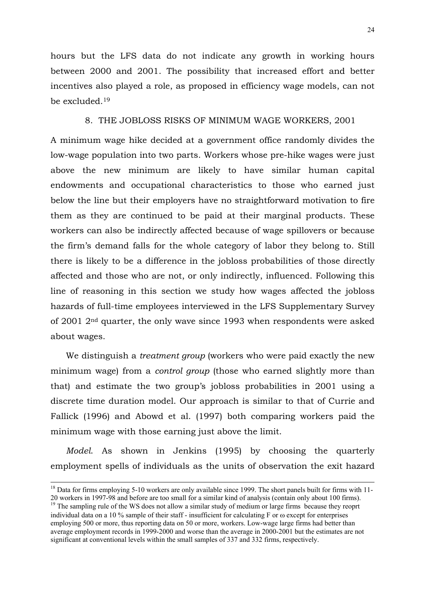hours but the LFS data do not indicate any growth in working hours between 2000 and 2001. The possibility that increased effort and better incentives also played a role, as proposed in efficiency wage models, can not be excluded.19

# 8. THE JOBLOSS RISKS OF MINIMUM WAGE WORKERS, 2001

A minimum wage hike decided at a government office randomly divides the low-wage population into two parts. Workers whose pre-hike wages were just above the new minimum are likely to have similar human capital endowments and occupational characteristics to those who earned just below the line but their employers have no straightforward motivation to fire them as they are continued to be paid at their marginal products. These workers can also be indirectly affected because of wage spillovers or because the firm's demand falls for the whole category of labor they belong to. Still there is likely to be a difference in the jobloss probabilities of those directly affected and those who are not, or only indirectly, influenced. Following this line of reasoning in this section we study how wages affected the jobloss hazards of full-time employees interviewed in the LFS Supplementary Survey of 2001 2nd quarter, the only wave since 1993 when respondents were asked about wages.

We distinguish a *treatment group* (workers who were paid exactly the new minimum wage) from a *control group* (those who earned slightly more than that) and estimate the two group's jobloss probabilities in 2001 using a discrete time duration model. Our approach is similar to that of Currie and Fallick (1996) and Abowd et al. (1997) both comparing workers paid the minimum wage with those earning just above the limit.

*Model*. As shown in Jenkins (1995) by choosing the quarterly employment spells of individuals as the units of observation the exit hazard

<sup>&</sup>lt;sup>18</sup> Data for firms employing 5-10 workers are only available since 1999. The short panels built for firms with 11-20 workers in 1997-98 and before are too small for a similar kind of analysis (contain only about 100 firms).

<sup>&</sup>lt;sup>19</sup> The sampling rule of the WS does not allow a similar study of medium or large firms because they reoprt individual data on a 10 % sample of their staff - insufficient for calculating F or ω except for enterprises employing 500 or more, thus reporting data on 50 or more, workers. Low-wage large firms had better than average employment records in 1999-2000 and worse than the average in 2000-2001 but the estimates are not significant at conventional levels within the small samples of 337 and 332 firms, respectively.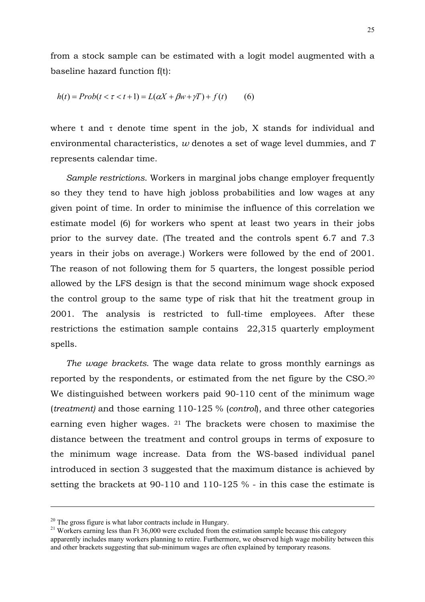from a stock sample can be estimated with a logit model augmented with a baseline hazard function f(t):

$$
h(t) = Prob(t < \tau < t+1) = L(\alpha X + \beta w + \gamma T) + f(t)
$$
(6)

where t and  $\tau$  denote time spent in the job, X stands for individual and environmental characteristics, *w* denotes a set of wage level dummies, and *T* represents calendar time.

*Sample restrictions*. Workers in marginal jobs change employer frequently so they they tend to have high jobloss probabilities and low wages at any given point of time. In order to minimise the influence of this correlation we estimate model (6) for workers who spent at least two years in their jobs prior to the survey date. (The treated and the controls spent 6.7 and 7.3 years in their jobs on average.) Workers were followed by the end of 2001. The reason of not following them for 5 quarters, the longest possible period allowed by the LFS design is that the second minimum wage shock exposed the control group to the same type of risk that hit the treatment group in 2001. The analysis is restricted to full-time employees. After these restrictions the estimation sample contains 22,315 quarterly employment spells.

*The wage brackets*. The wage data relate to gross monthly earnings as reported by the respondents, or estimated from the net figure by the CSO.20 We distinguished between workers paid 90-110 cent of the minimum wage (*treatment)* and those earning 110-125 % (*control*), and three other categories earning even higher wages. 21 The brackets were chosen to maximise the distance between the treatment and control groups in terms of exposure to the minimum wage increase. Data from the WS-based individual panel introduced in section 3 suggested that the maximum distance is achieved by setting the brackets at 90-110 and 110-125 % - in this case the estimate is

 $20$  The gross figure is what labor contracts include in Hungary.

<sup>&</sup>lt;sup>21</sup> Workers earning less than Ft 36,000 were excluded from the estimation sample because this category apparently includes many workers planning to retire. Furthermore, we observed high wage mobility between this and other brackets suggesting that sub-minimum wages are often explained by temporary reasons.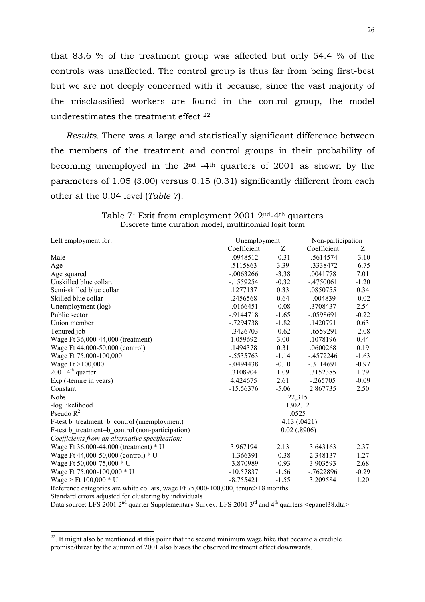that 83.6 % of the treatment group was affected but only 54.4 % of the controls was unaffected. The control group is thus far from being first-best but we are not deeply concerned with it because, since the vast majority of the misclassified workers are found in the control group, the model underestimates the treatment effect 22

*Results.* There was a large and statistically significant difference between the members of the treatment and control groups in their probability of becoming unemployed in the  $2<sup>nd</sup>$  -4<sup>th</sup> quarters of 2001 as shown by the parameters of 1.05 (3.00) versus 0.15 (0.31) significantly different from each other at the 0.04 level (*Table 7*).

| Left employment for:                             | Unemployment |                | Non-participation |         |
|--------------------------------------------------|--------------|----------------|-------------------|---------|
|                                                  | Coefficient  | Z              | Coefficient       | Ζ       |
| Male                                             | $-0.0948512$ | $-0.31$        | $-.5614574$       | $-3.10$ |
| Age                                              | .5115863     | 3.39           | $-.3338472$       | $-6.75$ |
| Age squared                                      | $-.0063266$  | $-3.38$        | .0041778          | 7.01    |
| Unskilled blue collar.                           | $-1559254$   | $-0.32$        | $-.4750061$       | $-1.20$ |
| Semi-skilled blue collar                         | .1277137     | 0.33           | .0850755          | 0.34    |
| Skilled blue collar                              | .2456568     | 0.64           | $-.004839$        | $-0.02$ |
| Unemployment (log)                               | $-0.0166451$ | $-0.08$        | .3708437          | 2.54    |
| Public sector                                    | $-9144718$   | $-1.65$        | $-.0598691$       | $-0.22$ |
| Union member                                     | $-0.7294738$ | $-1.82$        | .1420791          | 0.63    |
| Tenured job                                      | $-.3426703$  | $-0.62$        | $-.6559291$       | $-2.08$ |
| Wage Ft 36,000-44,000 (treatment)                | 1.059692     | 3.00           | .1078196          | 0.44    |
| Wage Ft 44,000-50,000 (control)                  | .1494378     | 0.31           | .0600268          | 0.19    |
| Wage Ft 75,000-100,000                           | $-.5535763$  | $-1.14$        | $-4572246$        | $-1.63$ |
| Wage $Ft > 100,000$                              | $-.0494438$  | $-0.10$        | $-3114691$        | $-0.97$ |
| $20014^{\text{th}}$ quarter                      | .3108904     | 1.09           | .3152385          | 1.79    |
| Exp (-tenure in years)                           | 4.424675     | 2.61           | $-.265705$        | $-0.09$ |
| Constant                                         | $-15.56376$  | $-5.06$        | 2.867735          | 2.50    |
| <b>Nobs</b>                                      |              | 22,315         |                   |         |
| -log likelihood                                  |              | 1302.12        |                   |         |
| Pseudo $R^2$                                     |              | .0525          |                   |         |
| F-test b treatment=b control (unemployment)      |              |                | 4.13(.0421)       |         |
| F-test b treatment=b control (non-participation) |              | $0.02$ (.8906) |                   |         |
| Coefficients from an alternative specification:  |              |                |                   |         |
| Wage Ft 36,000-44,000 (treatment) * U            | 3.967194     | 2.13           | 3.643163          | 2.37    |
| Wage Ft 44,000-50,000 (control) * U              | $-1.366391$  | $-0.38$        | 2.348137          | 1.27    |
| Wage Ft 50,000-75,000 * U                        | -3.870989    | $-0.93$        | 3.903593          | 2.68    |
| Wage Ft 75,000-100,000 * U                       | $-10.57837$  | $-1.56$        | $-7622896$        | $-0.29$ |
| Wage > Ft $100,000 * U$                          | $-8.755421$  | $-1.55$        | 3.209584          | 1.20    |

Table 7: Exit from employment 2001 2nd-4th quarters Discrete time duration model, multinomial logit form

Reference categories are white collars, wage Ft 75,000-100,000, tenure>18 months.

Standard errors adjusted for clustering by individuals

-

Data source: LFS 2001  $2<sup>nd</sup>$  quarter Supplementary Survey, LFS 2001  $3<sup>rd</sup>$  and  $4<sup>th</sup>$  quarters <epanel38.dta>

 $22$ . It might also be mentioned at this point that the second minimum wage hike that became a credible promise/threat by the autumn of 2001 also biases the observed treatment effect downwards.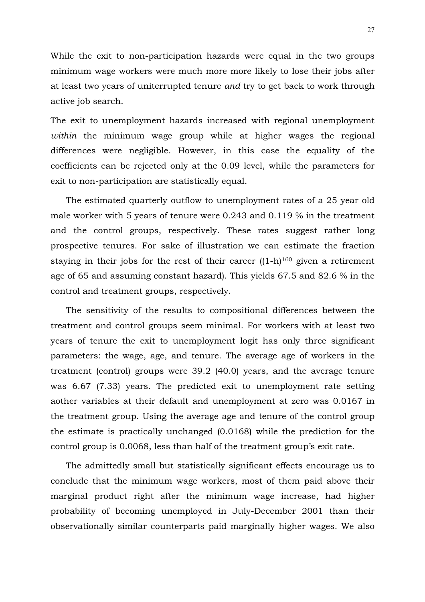While the exit to non-participation hazards were equal in the two groups minimum wage workers were much more more likely to lose their jobs after at least two years of uniterrupted tenure *and* try to get back to work through active job search.

The exit to unemployment hazards increased with regional unemployment *within* the minimum wage group while at higher wages the regional differences were negligible. However, in this case the equality of the coefficients can be rejected only at the 0.09 level, while the parameters for exit to non-participation are statistically equal.

The estimated quarterly outflow to unemployment rates of a 25 year old male worker with 5 years of tenure were 0.243 and 0.119 % in the treatment and the control groups, respectively. These rates suggest rather long prospective tenures. For sake of illustration we can estimate the fraction staying in their jobs for the rest of their career  $((1-h)^{160})$  given a retirement age of 65 and assuming constant hazard). This yields 67.5 and 82.6 % in the control and treatment groups, respectively.

The sensitivity of the results to compositional differences between the treatment and control groups seem minimal. For workers with at least two years of tenure the exit to unemployment logit has only three significant parameters: the wage, age, and tenure. The average age of workers in the treatment (control) groups were 39.2 (40.0) years, and the average tenure was 6.67 (7.33) years. The predicted exit to unemployment rate setting aother variables at their default and unemployment at zero was 0.0167 in the treatment group. Using the average age and tenure of the control group the estimate is practically unchanged (0.0168) while the prediction for the control group is 0.0068, less than half of the treatment group's exit rate.

The admittedly small but statistically significant effects encourage us to conclude that the minimum wage workers, most of them paid above their marginal product right after the minimum wage increase, had higher probability of becoming unemployed in July-December 2001 than their observationally similar counterparts paid marginally higher wages. We also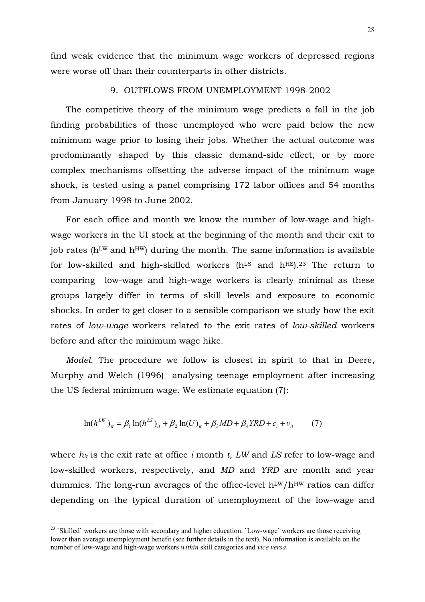find weak evidence that the minimum wage workers of depressed regions were worse off than their counterparts in other districts.

# 9. OUTFLOWS FROM UNEMPLOYMENT 1998-2002

The competitive theory of the minimum wage predicts a fall in the job finding probabilities of those unemployed who were paid below the new minimum wage prior to losing their jobs. Whether the actual outcome was predominantly shaped by this classic demand-side effect, or by more complex mechanisms offsetting the adverse impact of the minimum wage shock, is tested using a panel comprising 172 labor offices and 54 months from January 1998 to June 2002.

For each office and month we know the number of low-wage and highwage workers in the UI stock at the beginning of the month and their exit to job rates ( $h^{\text{LW}}$  and  $h^{\text{HW}}$ ) during the month. The same information is available for low-skilled and high-skilled workers ( $h^{LS}$  and  $h^{HS}$ ).<sup>23</sup> The return to comparing low-wage and high-wage workers is clearly minimal as these groups largely differ in terms of skill levels and exposure to economic shocks. In order to get closer to a sensible comparison we study how the exit rates of *low-wage* workers related to the exit rates of *low-skilled* workers before and after the minimum wage hike.

*Model*. The procedure we follow is closest in spirit to that in Deere, Murphy and Welch (1996) analysing teenage employment after increasing the US federal minimum wage. We estimate equation (7):

$$
\ln(h^{LW})_{it} = \beta_1 \ln(h^{LS})_{it} + \beta_2 \ln(U)_{it} + \beta_3 MD + \beta_4 YRD + c_i + v_{it}
$$
 (7)

where *hit* is the exit rate at office *i* month *t*, *LW* and *LS* refer to low-wage and low-skilled workers, respectively, and *MD* and *YRD* are month and year dummies. The long-run averages of the office-level  $h^{LW}/h^{HW}$  ratios can differ depending on the typical duration of unemployment of the low-wage and

<sup>&</sup>lt;sup>23</sup> `Skilled` workers are those with secondary and higher education. `Low-wage` workers are those receiving lower than average unemployment benefit (see further details in the text). No information is available on the number of low-wage and high-wage workers *within* skill categories and *vice versa*.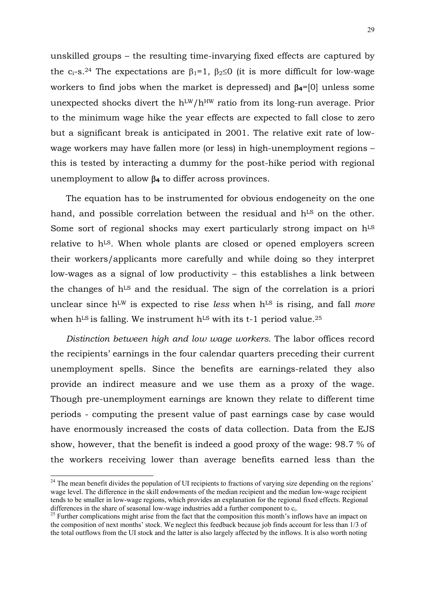unskilled groups – the resulting time-invarying fixed effects are captured by the c<sub>i</sub>-s.<sup>24</sup> The expectations are  $\beta_1=1$ ,  $\beta_2\leq 0$  (it is more difficult for low-wage workers to find jobs when the market is depressed) and β**4**=[0] unless some unexpected shocks divert the  $h^{LW}/h^{HW}$  ratio from its long-run average. Prior to the minimum wage hike the year effects are expected to fall close to zero but a significant break is anticipated in 2001. The relative exit rate of lowwage workers may have fallen more (or less) in high-unemployment regions – this is tested by interacting a dummy for the post-hike period with regional unemployment to allow β**4** to differ across provinces.

The equation has to be instrumented for obvious endogeneity on the one hand, and possible correlation between the residual and h<sup>LS</sup> on the other. Some sort of regional shocks may exert particularly strong impact on  $h<sup>LS</sup>$ relative to h<sup>LS</sup>. When whole plants are closed or opened employers screen their workers/applicants more carefully and while doing so they interpret low-wages as a signal of low productivity – this establishes a link between the changes of h<sup>LS</sup> and the residual. The sign of the correlation is a priori unclear since h<sup>LW</sup> is expected to rise *less* when h<sup>LS</sup> is rising, and fall *more* when  $h<sup>LS</sup>$  is falling. We instrument  $h<sup>LS</sup>$  with its t-1 period value.<sup>25</sup>

*Distinction between high and low wage workers.* The labor offices record the recipients' earnings in the four calendar quarters preceding their current unemployment spells. Since the benefits are earnings-related they also provide an indirect measure and we use them as a proxy of the wage. Though pre-unemployment earnings are known they relate to different time periods - computing the present value of past earnings case by case would have enormously increased the costs of data collection. Data from the EJS show, however, that the benefit is indeed a good proxy of the wage: 98.7 % of the workers receiving lower than average benefits earned less than the

 $^{24}$  The mean benefit divides the population of UI recipients to fractions of varying size depending on the regions' wage level. The difference in the skill endowments of the median recipient and the median low-wage recipient tends to be smaller in low-wage regions, which provides an explanation for the regional fixed effects. Regional differences in the share of seasonal low-wage industries add a further component to  $c_i$ .<br><sup>25</sup> Further complications might arise from the fact that the composition this month's inflows have an impact on

the composition of next months' stock. We neglect this feedback because job finds account for less than 1/3 of the total outflows from the UI stock and the latter is also largely affected by the inflows. It is also worth noting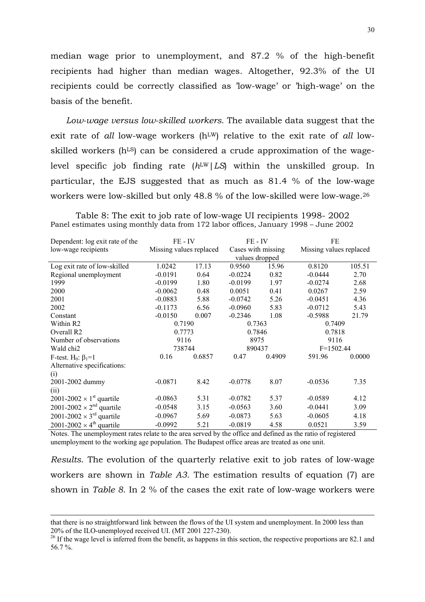median wage prior to unemployment, and 87.2 % of the high-benefit recipients had higher than median wages. Altogether, 92.3% of the UI recipients could be correctly classified as 'low-wage' or 'high-wage' on the basis of the benefit.

*Low-wage versus low-skilled workers.* The available data suggest that the exit rate of *all* low-wage workers (h<sup>LW</sup>) relative to the exit rate of *all* lowskilled workers (h<sup>LS</sup>) can be considered a crude approximation of the wagelevel specific job finding rate ( $h^{\text{LW}}/LS$ ) within the unskilled group. In particular, the EJS suggested that as much as 81.4 % of the low-wage workers were low-skilled but only 48.8 % of the low-skilled were low-wage.26

Table 8: The exit to job rate of low-wage UI recipients 1998- 2002 Panel estimates using monthly data from 172 labor offices, January 1998 – June 2002

| Dependent: log exit rate of the             | FE - IV                 |        | FE - IV            |        | FE                      |        |
|---------------------------------------------|-------------------------|--------|--------------------|--------|-------------------------|--------|
| low-wage recipients                         | Missing values replaced |        | Cases with missing |        | Missing values replaced |        |
|                                             |                         |        | values dropped     |        |                         |        |
| Log exit rate of low-skilled                | 1.0242                  | 17.13  | 0.9560             | 15.96  | 0.8120                  | 105.51 |
| Regional unemployment                       | $-0.0191$               | 0.64   | $-0.0224$          | 0.82   | $-0.0444$               | 2.70   |
| 1999                                        | $-0.0199$               | 1.80   | $-0.0199$          | 1.97   | $-0.0274$               | 2.68   |
| 2000                                        | $-0.0062$               | 0.48   | 0.0051             | 0.41   | 0.0267                  | 2.59   |
| 2001                                        | $-0.0883$               | 5.88   | $-0.0742$          | 5.26   | $-0.0451$               | 4.36   |
| 2002                                        | $-0.1173$               | 6.56   | $-0.0960$          | 5.83   | $-0.0712$               | 5.43   |
| Constant                                    | $-0.0150$               | 0.007  | $-0.2346$          | 1.08   | $-0.5988$               | 21.79  |
| Within R2                                   | 0.7190                  |        | 0.7363             |        | 0.7409                  |        |
| Overall R <sub>2</sub>                      | 0.7773                  |        | 0.7846             |        | 0.7818                  |        |
| Number of observations                      | 9116                    |        | 8975               |        | 9116                    |        |
| Wald chi <sub>2</sub>                       | 738744                  |        | 890437             |        | $F=1502.44$             |        |
| F-test. $H_0$ : $\beta_1=1$                 | 0.16                    | 0.6857 | 0.47               | 0.4909 | 591.96                  | 0.0000 |
| Alternative specifications:                 |                         |        |                    |        |                         |        |
| (i)                                         |                         |        |                    |        |                         |        |
| 2001-2002 dummy                             | $-0.0871$               | 8.42   | $-0.0778$          | 8.07   | $-0.0536$               | 7.35   |
| (ii)                                        |                         |        |                    |        |                         |        |
| $2001-2002 \times 1^{st}$ quartile          | $-0.0863$               | 5.31   | $-0.0782$          | 5.37   | $-0.0589$               | 4.12   |
| $2001-2002 \times 2^{nd}$ quartile          | $-0.0548$               | 3.15   | $-0.0563$          | 3.60   | $-0.0441$               | 3.09   |
| 2001-2002 $\times$ 3 <sup>rd</sup> quartile | $-0.0967$               | 5.69   | $-0.0873$          | 5.63   | $-0.0605$               | 4.18   |
| $2001-2002 \times 4^{\text{th}}$ quartile   | $-0.0992$               | 5.21   | $-0.0819$          | 4.58   | 0.0521                  | 3.59   |

Notes. The unemployment rates relate to the area served by the office and defined as the ratio of registered unemployment to the working age population. The Budapest office areas are treated as one unit.

*Results*. The evolution of the quarterly relative exit to job rates of low-wage workers are shown in *Table A3*. The estimation results of equation (7) are shown in *Table 8*. In 2 % of the cases the exit rate of low-wage workers were

 $\overline{a}$ 

that there is no straightforward link between the flows of the UI system and unemployment. In 2000 less than 20% of the ILO-unemployed received UI. (MT 2001 227-230).<br><sup>26</sup> If the wage level is inferred from the benefit, as happens in this section, the respective proportions are 82.1 and

<sup>56.7 %.</sup>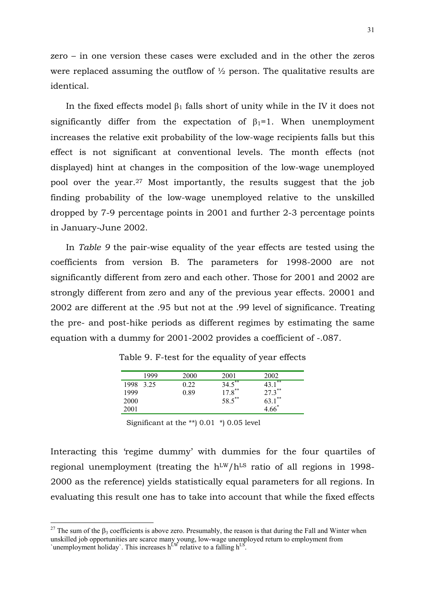zero – in one version these cases were excluded and in the other the zeros were replaced assuming the outflow of ½ person. The qualitative results are identical.

In the fixed effects model  $\beta_1$  falls short of unity while in the IV it does not significantly differ from the expectation of  $\beta_1=1$ . When unemployment increases the relative exit probability of the low-wage recipients falls but this effect is not significant at conventional levels. The month effects (not displayed) hint at changes in the composition of the low-wage unemployed pool over the year.27 Most importantly, the results suggest that the job finding probability of the low-wage unemployed relative to the unskilled dropped by 7-9 percentage points in 2001 and further 2-3 percentage points in January-June 2002.

In *Table 9* the pair-wise equality of the year effects are tested using the coefficients from version B. The parameters for 1998-2000 are not significantly different from zero and each other. Those for 2001 and 2002 are strongly different from zero and any of the previous year effects. 20001 and 2002 are different at the .95 but not at the .99 level of significance. Treating the pre- and post-hike periods as different regimes by estimating the same equation with a dummy for 2001-2002 provides a coefficient of -.087.

|      | 1999 | 2000 | 2001                 | 2002           |
|------|------|------|----------------------|----------------|
| 1998 | 3.25 | 0.22 | $34.5***$            | **<br>43.      |
| 1999 |      | 0.89 | $17.8$ <sup>**</sup> | $27.3***$      |
| 2000 |      |      | 58.5**               | $1***$<br>63.1 |
| 2001 |      |      |                      | $4.66*$        |

Table 9. F-test for the equality of year effects

Significant at the \*\*) 0.01 \*) 0.05 level

Interacting this 'regime dummy' with dummies for the four quartiles of regional unemployment (treating the  $h<sup>LW</sup>/h<sup>LS</sup>$  ratio of all regions in 1998-2000 as the reference) yields statistically equal parameters for all regions. In evaluating this result one has to take into account that while the fixed effects

<sup>&</sup>lt;sup>27</sup> The sum of the  $\beta_3$  coefficients is above zero. Presumably, the reason is that during the Fall and Winter when unskilled job opportunities are scarce many young, low-wage unemployed return to employment from `unemployment holiday`. This increases  $h^{\text{LW}}$  relative to a falling  $h^{\text{LS}}$ .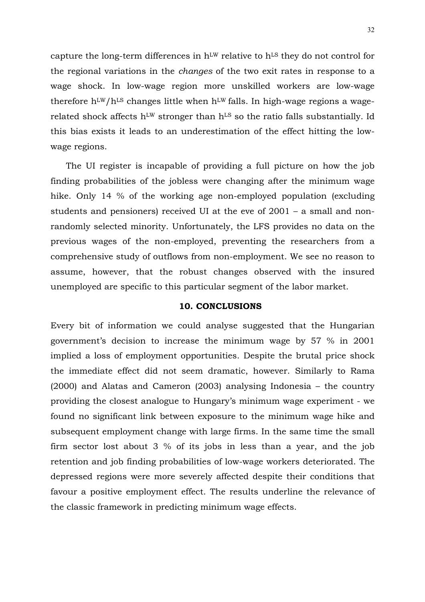capture the long-term differences in  $h<sup>LW</sup>$  relative to  $h<sup>LS</sup>$  they do not control for the regional variations in the *changes* of the two exit rates in response to a wage shock. In low-wage region more unskilled workers are low-wage therefore  $h<sup>LW</sup>/h<sup>LS</sup>$  changes little when  $h<sup>LW</sup>$  falls. In high-wage regions a wagerelated shock affects h<sup>LW</sup> stronger than h<sup>LS</sup> so the ratio falls substantially. Id this bias exists it leads to an underestimation of the effect hitting the lowwage regions.

The UI register is incapable of providing a full picture on how the job finding probabilities of the jobless were changing after the minimum wage hike. Only 14 % of the working age non-employed population (excluding students and pensioners) received UI at the eve of 2001 – a small and nonrandomly selected minority. Unfortunately, the LFS provides no data on the previous wages of the non-employed, preventing the researchers from a comprehensive study of outflows from non-employment. We see no reason to assume, however, that the robust changes observed with the insured unemployed are specific to this particular segment of the labor market.

# **10. CONCLUSIONS**

Every bit of information we could analyse suggested that the Hungarian government's decision to increase the minimum wage by 57 % in 2001 implied a loss of employment opportunities. Despite the brutal price shock the immediate effect did not seem dramatic, however. Similarly to Rama (2000) and Alatas and Cameron (2003) analysing Indonesia – the country providing the closest analogue to Hungary's minimum wage experiment - we found no significant link between exposure to the minimum wage hike and subsequent employment change with large firms. In the same time the small firm sector lost about 3 % of its jobs in less than a year, and the job retention and job finding probabilities of low-wage workers deteriorated. The depressed regions were more severely affected despite their conditions that favour a positive employment effect. The results underline the relevance of the classic framework in predicting minimum wage effects.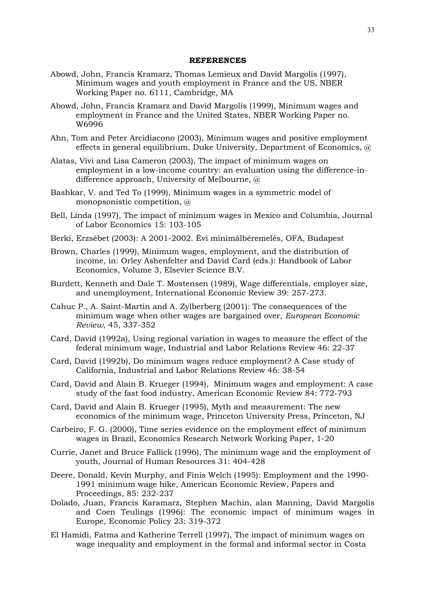## **REFERENCES**

- Abowd, John, Francis Kramarz, Thomas Lemieux and David Margolis (1997), Minimum wages and youth employment in France and the US, NBER Working Paper no. 6111, Cambridge, MA
- Abowd, John, Francis Kramarz and David Margolis (1999), Minimum wages and employment in France and the United States, NBER Working Paper no. W6996
- Ahn, Tom and Peter Arcidiacono (2003), Minimum wages and positive employment effects in general equilibrium, Duke University, Department of Economics, @
- Alatas, Vivi and Lisa Cameron (2003), The impact of minimum wages on employment in a low-income country: an evaluation using the difference-indifference approach, University of Melbourne, @
- Bashkar, V. and Ted To (1999), Minimum wages in a symmetric model of monopsonistic competition, @
- Bell, Linda (1997), The impact of minimum wages in Mexico and Columbia, Journal of Labor Economics 15: 103-105
- Berki, Erzsébet (2003): A 2001-2002. Évi minimálbéremelés, OFA, Budapest
- Brown, Charles (1999), Minimum wages, employment, and the distribution of income, in: Orley Ashenfelter and David Card (eds.): Handbook of Labor Economics, Volume 3, Elsevier Science B.V.
- Burdett, Kenneth and Dale T. Mostensen (1989), Wage differentials, employer size, and unemployment, International Economic Review 39: 257-273.
- Cahuc P., A. Saint-Martin and A. Zylberberg (2001): The consequences of the minimum wage when other wages are bargained over, *European Economic Review*, 45, 337-352
- Card, David (1992a), Using regional variation in wages to measure the effect of the federal minimum wage, Industrial and Labor Relations Review 46: 22-37
- Card, David (1992b), Do minimum wages reduce employment? A Case study of California, Industrial and Labor Relations Review 46: 38-54
- Card, David and Alain B. Krueger (1994), Minimum wages and employment: A case study of the fast food industry, American Economic Review 84: 772-793
- Card, David and Alain B. Krueger (1995), Myth and measurement: The new economics of the minimum wage, Princeton University Press, Princeton, NJ
- Carbeiro, F. G. (2000), Time series evidence on the employment effect of minimum wages in Brazil, Economics Research Network Working Paper, 1-20
- Currie, Janet and Bruce Fallick (1996), The minimum wage and the employment of youth, Journal of Human Resources 31: 404-428
- Deere, Donald, Kevin Murphy, and Finis Welch (1995): Employment and the 1990- 1991 minimum wage hike, American Economic Review, Papers and Proceedings, 85: 232-237
- Dolado, Juan, Francis Karamarz, Stephen Machin, alan Manning, David Margolis and Coen Teulings (1996): The economic impact of minimum wages in Europe, Economic Policy 23: 319-372
- El Hamidi, Fatma and Katherine Terrell (1997), The impact of minimum wages on wage inequality and employment in the formal and informal sector in Costa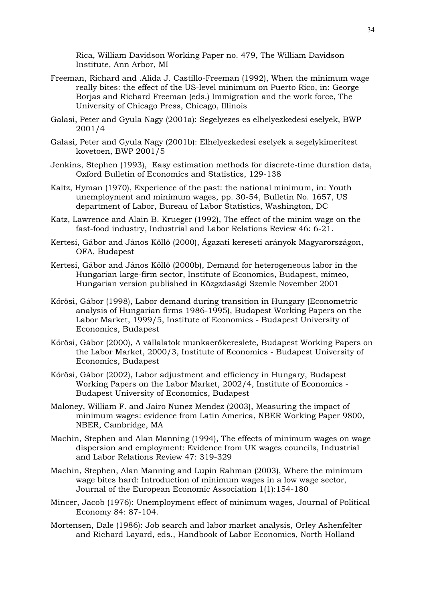Rica, William Davidson Working Paper no. 479, The William Davidson Institute, Ann Arbor, MI

- Freeman, Richard and .Alida J. Castillo-Freeman (1992), When the minimum wage really bites: the effect of the US-level minimum on Puerto Rico, in: George Borjas and Richard Freeman (eds.) Immigration and the work force, The University of Chicago Press, Chicago, Illinois
- Galasi, Peter and Gyula Nagy (2001a): Segelyezes es elhelyezkedesi eselyek, BWP 2001/4
- Galasi, Peter and Gyula Nagy (2001b): Elhelyezkedesi eselyek a segelykimeritest kovetoen, BWP 2001/5
- Jenkins, Stephen (1993), Easy estimation methods for discrete-time duration data, Oxford Bulletin of Economics and Statistics, 129-138
- Kaitz, Hyman (1970), Experience of the past: the national minimum, in: Youth unemployment and minimum wages, pp. 30-54, Bulletin No. 1657, US department of Labor, Bureau of Labor Statistics, Washington, DC
- Katz, Lawrence and Alain B. Krueger (1992), The effect of the minim wage on the fast-food industry, Industrial and Labor Relations Review 46: 6-21.
- Kertesi, Gábor and János Köllő (2000), Ágazati kereseti arányok Magyarországon, OFA, Budapest
- Kertesi, Gábor and János Köllő (2000b), Demand for heterogeneous labor in the Hungarian large-firm sector, Institute of Economics, Budapest, mimeo, Hungarian version published in Közgzdasági Szemle November 2001
- Kőrösi, Gábor (1998), Labor demand during transition in Hungary (Econometric analysis of Hungarian firms 1986-1995), Budapest Working Papers on the Labor Market, 1999/5, Institute of Economics - Budapest University of Economics, Budapest
- Kőrösi, Gábor (2000), A vállalatok munkaerőkereslete, Budapest Working Papers on the Labor Market, 2000/3, Institute of Economics - Budapest University of Economics, Budapest
- Kőrösi, Gábor (2002), Labor adjustment and efficiency in Hungary, Budapest Working Papers on the Labor Market, 2002/4, Institute of Economics - Budapest University of Economics, Budapest
- Maloney, William F. and Jairo Nunez Mendez (2003), Measuring the impact of minimum wages: evidence from Latin America, NBER Working Paper 9800, NBER, Cambridge, MA
- Machin, Stephen and Alan Manning (1994), The effects of minimum wages on wage dispersion and employment: Evidence from UK wages councils, Industrial and Labor Relations Review 47: 319-329
- Machin, Stephen, Alan Manning and Lupin Rahman (2003), Where the minimum wage bites hard: Introduction of minimum wages in a low wage sector, Journal of the European Economic Association 1(1):154-180
- Mincer, Jacob (1976): Unemployment effect of minimum wages, Journal of Political Economy 84: 87-104.
- Mortensen, Dale (1986): Job search and labor market analysis, Orley Ashenfelter and Richard Layard, eds., Handbook of Labor Economics, North Holland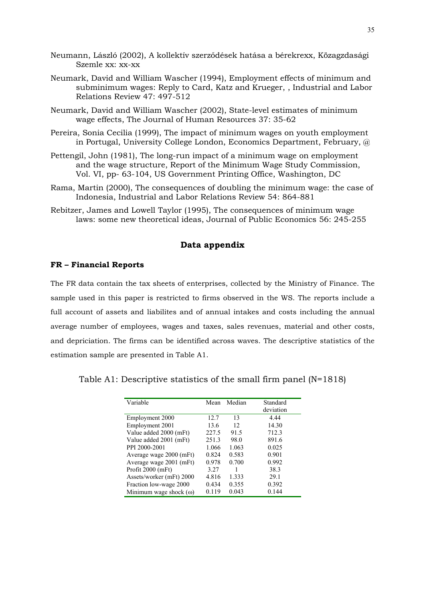- Neumann, László (2002), A kollektív szerződések hatása a bérekrexx, Közagzdasági Szemle xx: xx-xx
- Neumark, David and William Wascher (1994), Employment effects of minimum and subminimum wages: Reply to Card, Katz and Krueger, , Industrial and Labor Relations Review 47: 497-512
- Neumark, David and William Wascher (2002), State-level estimates of minimum wage effects, The Journal of Human Resources 37: 35-62
- Pereira, Sonia Cecilia (1999), The impact of minimum wages on youth employment in Portugal, University College London, Economics Department, February, @
- Pettengil, John (1981), The long-run impact of a minimum wage on employment and the wage structure, Report of the Minimum Wage Study Commission, Vol. VI, pp- 63-104, US Government Printing Office, Washington, DC
- Rama, Martin (2000), The consequences of doubling the minimum wage: the case of Indonesia, Industrial and Labor Relations Review 54: 864-881
- Rebitzer, James and Lowell Taylor (1995), The consequences of minimum wage laws: some new theoretical ideas, Journal of Public Economics 56: 245-255

# **Data appendix**

#### **FR – Financial Reports**

The FR data contain the tax sheets of enterprises, collected by the Ministry of Finance. The sample used in this paper is restricted to firms observed in the WS. The reports include a full account of assets and liabilites and of annual intakes and costs including the annual average number of employees, wages and taxes, sales revenues, material and other costs, and depriciation. The firms can be identified across waves. The descriptive statistics of the estimation sample are presented in Table A1.

Table A1: Descriptive statistics of the small firm panel (N=1818)

| Variable                      | Mean  | Median | Standard  |
|-------------------------------|-------|--------|-----------|
|                               |       |        | deviation |
| Employment 2000               | 12.7  | 13     | 4.44      |
| Employment 2001               | 13.6  | 12     | 14.30     |
| Value added 2000 (mFt)        | 227.5 | 91.5   | 712.3     |
| Value added 2001 (mFt)        | 251.3 | 98.0   | 891.6     |
| PPI 2000-2001                 | 1.066 | 1.063  | 0.025     |
| Average wage 2000 (mFt)       | 0.824 | 0.583  | 0.901     |
| Average wage 2001 (mFt)       | 0.978 | 0.700  | 0.992     |
| Profit 2000 (mFt)             | 3.27  |        | 38.3      |
| Assets/worker (mFt) 2000      | 4.816 | 1.333  | 29.1      |
| Fraction low-wage 2000        | 0.434 | 0.355  | 0.392     |
| Minimum wage shock $(\omega)$ | 0.119 | 0.043  | 0.144     |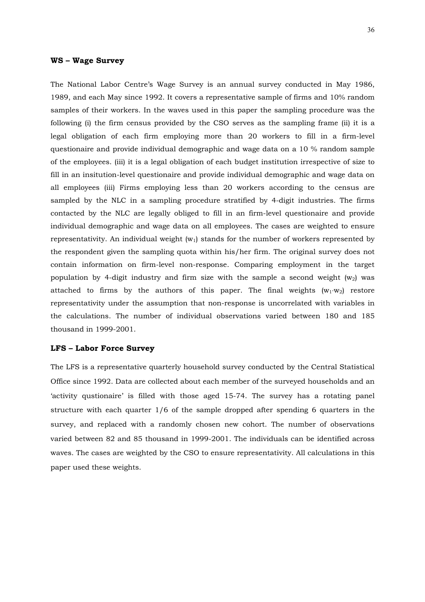#### **WS – Wage Survey**

The National Labor Centre's Wage Survey is an annual survey conducted in May 1986, 1989, and each May since 1992. It covers a representative sample of firms and 10% random samples of their workers. In the waves used in this paper the sampling procedure was the following (i) the firm census provided by the CSO serves as the sampling frame (ii) it is a legal obligation of each firm employing more than 20 workers to fill in a firm-level questionaire and provide individual demographic and wage data on a 10 % random sample of the employees. (iii) it is a legal obligation of each budget institution irrespective of size to fill in an insitution-level questionaire and provide individual demographic and wage data on all employees (iii) Firms employing less than 20 workers according to the census are sampled by the NLC in a sampling procedure stratified by 4-digit industries. The firms contacted by the NLC are legally obliged to fill in an firm-level questionaire and provide individual demographic and wage data on all employees. The cases are weighted to ensure representativity. An individual weight  $(w_1)$  stands for the number of workers represented by the respondent given the sampling quota within his/her firm. The original survey does not contain information on firm-level non-response. Comparing employment in the target population by 4-digit industry and firm size with the sample a second weight  $(w_2)$  was attached to firms by the authors of this paper. The final weights  $(w_1·w_2)$  restore representativity under the assumption that non-response is uncorrelated with variables in the calculations. The number of individual observations varied between 180 and 185 thousand in 1999-2001.

### **LFS – Labor Force Survey**

The LFS is a representative quarterly household survey conducted by the Central Statistical Office since 1992. Data are collected about each member of the surveyed households and an 'activity qustionaire' is filled with those aged 15-74. The survey has a rotating panel structure with each quarter 1/6 of the sample dropped after spending 6 quarters in the survey, and replaced with a randomly chosen new cohort. The number of observations varied between 82 and 85 thousand in 1999-2001. The individuals can be identified across waves. The cases are weighted by the CSO to ensure representativity. All calculations in this paper used these weights.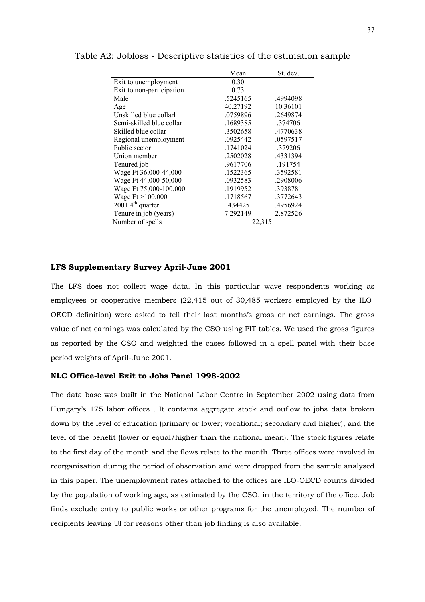|                             | Mean     | St. dev. |
|-----------------------------|----------|----------|
| Exit to unemployment        | 0.30     |          |
| Exit to non-participation   | 0.73     |          |
| Male                        | .5245165 | .4994098 |
| Age                         | 40.27192 | 10.36101 |
| Unskilled blue collarl      | .0759896 | .2649874 |
| Semi-skilled blue collar    | .1689385 | .374706  |
| Skilled blue collar         | .3502658 | .4770638 |
| Regional unemployment       | .0925442 | .0597517 |
| Public sector               | .1741024 | .379206  |
| Union member                | .2502028 | 4331394  |
| Tenured job                 | .9617706 | .191754  |
| Wage Ft 36,000-44,000       | .1522365 | .3592581 |
| Wage Ft 44,000-50,000       | .0932583 | .2908006 |
| Wage Ft 75,000-100,000      | .1919952 | .3938781 |
| Wage $Ft > 100,000$         | .1718567 | .3772643 |
| $20014^{\text{th}}$ quarter | 434425   | .4956924 |
| Tenure in job (years)       | 7.292149 | 2.872526 |
| Number of spells            | 22,315   |          |

Table A2: Jobloss - Descriptive statistics of the estimation sample

#### **LFS Supplementary Survey April-June 2001**

The LFS does not collect wage data. In this particular wave respondents working as employees or cooperative members (22,415 out of 30,485 workers employed by the ILO-OECD definition) were asked to tell their last months's gross or net earnings. The gross value of net earnings was calculated by the CSO using PIT tables. We used the gross figures as reported by the CSO and weighted the cases followed in a spell panel with their base period weights of April-June 2001.

## **NLC Office-level Exit to Jobs Panel 1998-2002**

The data base was built in the National Labor Centre in September 2002 using data from Hungary's 175 labor offices . It contains aggregate stock and ouflow to jobs data broken down by the level of education (primary or lower; vocational; secondary and higher), and the level of the benefit (lower or equal/higher than the national mean). The stock figures relate to the first day of the month and the flows relate to the month. Three offices were involved in reorganisation during the period of observation and were dropped from the sample analysed in this paper. The unemployment rates attached to the offices are ILO-OECD counts divided by the population of working age, as estimated by the CSO, in the territory of the office. Job finds exclude entry to public works or other programs for the unemployed. The number of recipients leaving UI for reasons other than job finding is also available.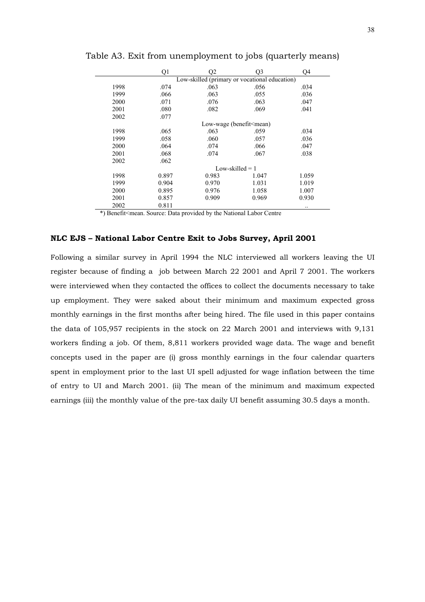|      | Q1    | Q2                                            | Q3                                                 | Q4    |
|------|-------|-----------------------------------------------|----------------------------------------------------|-------|
|      |       | Low-skilled (primary or vocational education) |                                                    |       |
| 1998 | .074  | .063                                          | .056                                               | .034  |
| 1999 | .066  | .063                                          | .055                                               | .036  |
| 2000 | .071  | .076                                          | .063                                               | .047  |
| 2001 | .080  | .082                                          | .069                                               | .041  |
| 2002 | .077  |                                               |                                                    |       |
|      |       |                                               | Low-wage (benefit <mean)< td=""><td></td></mean)<> |       |
| 1998 | .065  | .063                                          | .059                                               | .034  |
| 1999 | .058  | .060                                          | .057                                               | .036  |
| 2000 | .064  | .074                                          | .066                                               | .047  |
| 2001 | .068  | .074                                          | .067                                               | .038  |
| 2002 | .062  |                                               |                                                    |       |
|      |       |                                               | Low-skilled $= 1$                                  |       |
| 1998 | 0.897 | 0.983                                         | 1.047                                              | 1.059 |
| 1999 | 0.904 | 0.970                                         | 1.031                                              | 1.019 |
| 2000 | 0.895 | 0.976                                         | 1.058                                              | 1.007 |
| 2001 | 0.857 | 0.909                                         | 0.969                                              | 0.930 |
| 2002 | 0.811 |                                               |                                                    |       |

Table A3. Exit from unemployment to jobs (quarterly means)

\*) Benefit<mean. Source: Data provided by the National Labor Centre

# **NLC EJS – National Labor Centre Exit to Jobs Survey, April 2001**

Following a similar survey in April 1994 the NLC interviewed all workers leaving the UI register because of finding a job between March 22 2001 and April 7 2001. The workers were interviewed when they contacted the offices to collect the documents necessary to take up employment. They were saked about their minimum and maximum expected gross monthly earnings in the first months after being hired. The file used in this paper contains the data of 105,957 recipients in the stock on 22 March 2001 and interviews with 9,131 workers finding a job. Of them, 8,811 workers provided wage data. The wage and benefit concepts used in the paper are (i) gross monthly earnings in the four calendar quarters spent in employment prior to the last UI spell adjusted for wage inflation between the time of entry to UI and March 2001. (ii) The mean of the minimum and maximum expected earnings (iii) the monthly value of the pre-tax daily UI benefit assuming 30.5 days a month.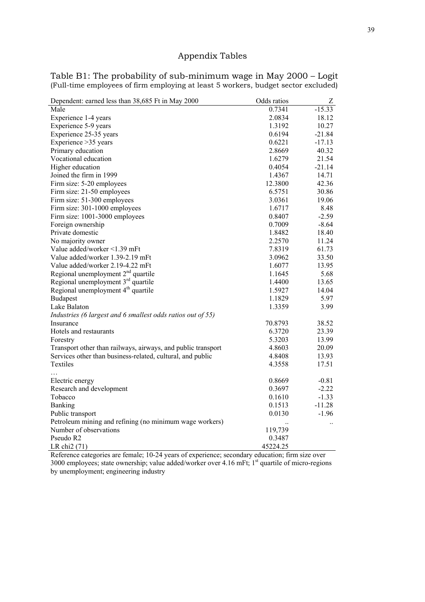# Appendix Tables

| Odds ratios<br>Dependent: earned less than 38,685 Ft in May 2000       | Z         |
|------------------------------------------------------------------------|-----------|
| Male<br>0.7341                                                         | $-15.33$  |
| Experience 1-4 years<br>2.0834                                         | 18.12     |
| Experience 5-9 years<br>1.3192                                         | 10.27     |
| Experience 25-35 years<br>0.6194                                       | $-21.84$  |
| Experience > 35 years<br>0.6221                                        | $-17.13$  |
| Primary education<br>2.8669                                            | 40.32     |
| Vocational education<br>1.6279                                         | 21.54     |
| Higher education<br>0.4054                                             | $-21.14$  |
| Joined the firm in 1999<br>1.4367                                      | 14.71     |
| Firm size: 5-20 employees<br>12.3800                                   | 42.36     |
| Firm size: 21-50 employees<br>6.5751                                   | 30.86     |
| Firm size: 51-300 employees<br>3.0361                                  | 19.06     |
| Firm size: 301-1000 employees<br>1.6717                                | 8.48      |
| Firm size: 1001-3000 employees<br>0.8407                               | $-2.59$   |
| Foreign ownership<br>0.7009                                            | $-8.64$   |
| Private domestic<br>1.8482                                             | 18.40     |
| 2.2570<br>No majority owner                                            | 11.24     |
| Value added/worker <1.39 mFt<br>7.8319                                 | 61.73     |
| Value added/worker 1.39-2.19 mFt<br>3.0962                             | 33.50     |
| Value added/worker 2.19-4.22 mFt<br>1.6077                             | 13.95     |
| Regional unemployment $2nd$ quartile<br>1.1645                         | 5.68      |
| Regional unemployment 3 <sup>rd</sup> quartile<br>1.4400               | 13.65     |
| Regional unemployment 4 <sup>th</sup> quartile<br>1.5927               | 14.04     |
| <b>Budapest</b><br>1.1829                                              | 5.97      |
| 1.3359<br>Lake Balaton                                                 | 3.99      |
| Industries (6 largest and 6 smallest odds ratios out of 55)            |           |
| Insurance<br>70.8793                                                   | 38.52     |
| Hotels and restaurants<br>6.3720                                       | 23.39     |
| 5.3203<br>Forestry                                                     | 13.99     |
| Transport other than railways, airways, and public transport<br>4.8603 | 20.09     |
| Services other than business-related, cultural, and public<br>4.8408   | 13.93     |
| Textiles<br>4.3558                                                     | 17.51     |
| 0.8669<br>Electric energy                                              | $-0.81$   |
| Research and development<br>0.3697                                     | $-2.22$   |
| 0.1610<br>Tobacco                                                      | $-1.33$   |
| Banking<br>0.1513                                                      | $-11.28$  |
| Public transport<br>0.0130                                             | $-1.96$   |
| Petroleum mining and refining (no minimum wage workers)                |           |
| Number of observations<br>119,739                                      | $\ddotsc$ |
| Pseudo R2<br>0.3487                                                    |           |
| 45224.25<br>LR chi2 (71)                                               |           |

## Table B1: The probability of sub-minimum wage in May 2000 – Logit (Full-time employees of firm employing at least 5 workers, budget sector excluded)

Reference categories are female; 10-24 years of experience; secondary education; firm size over 3000 employees; state ownership; value added/worker over 4.16 mFt; 1<sup>st</sup> quartile of micro-regions by unemployment; engineering industry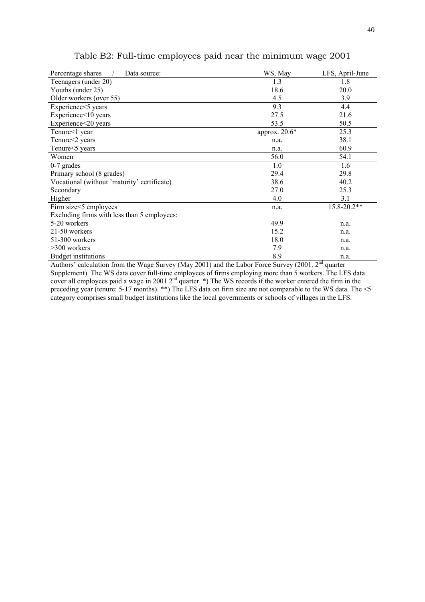| Percentage shares<br>Data source:           | WS, May       | LFS, April-June |
|---------------------------------------------|---------------|-----------------|
| Teenagers (under 20)                        | 1.3           | 1.8             |
| Youths (under 25)                           | 18.6          | 20.0            |
| Older workers (over 55)                     | 4.5           | 3.9             |
| Experience<5 years                          | 9.3           | 4.4             |
| Experience<10 years                         | 27.5          | 21.6            |
| Experience<20 years                         | 53.5          | 50.5            |
| Tenure<1 year                               | approx. 20.6* | 25.3            |
| Tenure<2 years                              | n.a.          | 38.1            |
| Tenure <5 years                             | n.a.          | 60.9            |
| Women                                       | 56.0          | 54.1            |
| $0-7$ grades                                | 1.0           | 1.6             |
| Primary school (8 grades)                   | 29.4          | 29.8            |
| Vocational (without 'maturity' certificate) | 38.6          | 40.2            |
| Secondary                                   | 27.0          | 25.3            |
| Higher                                      | 4.0           | 3.1             |
| Firm size <5 employees                      | n.a.          | 15.8-20.2**     |
| Excluding firms with less than 5 employees: |               |                 |
| 5-20 workers                                | 49.9          | n.a.            |
| 21-50 workers                               | 15.2          | n.a.            |
| 51-300 workers                              | 18.0          | n.a.            |
| $>300$ workers                              | 7.9           | n.a.            |
| Budget institutions                         | 8.9           | n.a.            |

# Table B2: Full-time employees paid near the minimum wage 2001

Authors' calculation from the Wage Survey (May 2001) and the Labor Force Survey (2001. 2<sup>nd</sup> quarter Supplement). The WS data cover full-time employees of firms employing more than 5 workers. The LFS data cover all employees paid a wage in 2001  $2<sup>nd</sup>$  quarter. \*) The WS records if the worker entered the firm in the preceding year (tenure: 5-17 months). \*\*) The LFS data on firm size are not comparable to the WS data. The <5 category comprises small budget institutions like the local governments or schools of villages in the LFS.